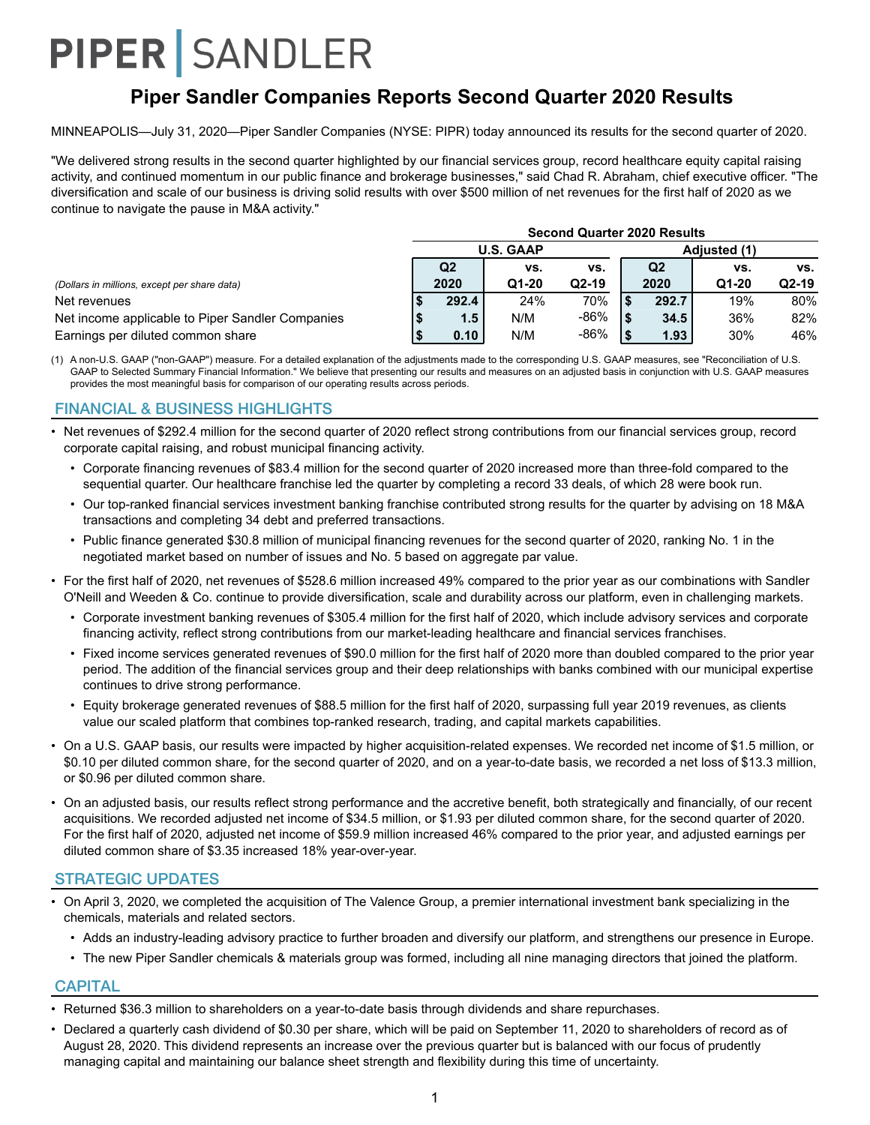## **Piper Sandler Companies Reports Second Quarter 2020 Results**

MINNEAPOLIS—July 31, 2020—Piper Sandler Companies (NYSE: PIPR) today announced its results for the second quarter of 2020.

"We delivered strong results in the second quarter highlighted by our financial services group, record healthcare equity capital raising activity, and continued momentum in our public finance and brokerage businesses," said Chad R. Abraham, chief executive officer. "The diversification and scale of our business is driving solid results with over \$500 million of net revenues for the first half of 2020 as we continue to navigate the pause in M&A activity."

|                                                  | <b>Second Quarter 2020 Results</b> |                  |         |      |                |         |         |  |  |  |  |
|--------------------------------------------------|------------------------------------|------------------|---------|------|----------------|---------|---------|--|--|--|--|
|                                                  |                                    | <b>U.S. GAAP</b> |         |      |                |         |         |  |  |  |  |
|                                                  | Q <sub>2</sub>                     | VS.              | VS.     |      | Q <sub>2</sub> | vs.     | vs.     |  |  |  |  |
| (Dollars in millions, except per share data)     | 2020                               | Q1-20            | $Q2-19$ |      | 2020           | $Q1-20$ | $Q2-19$ |  |  |  |  |
| Net revenues                                     | 292.4                              | 24%              | 70%     |      | 292.7          | 19%     | 80%     |  |  |  |  |
| Net income applicable to Piper Sandler Companies | 1.5                                | N/M              | $-86%$  | ' \$ | 34.5           | 36%     | 82%     |  |  |  |  |
| Earnings per diluted common share                | 0.10                               | N/M              | $-86%$  |      | 1.93           | 30%     | 46%     |  |  |  |  |

(1) A non-U.S. GAAP ("non-GAAP") measure. For a detailed explanation of the adjustments made to the corresponding U.S. GAAP measures, see "Reconciliation of U.S. GAAP to Selected Summary Financial Information." We believe that presenting our results and measures on an adjusted basis in conjunction with U.S. GAAP measures provides the most meaningful basis for comparison of our operating results across periods.

#### FINANCIAL & BUSINESS HIGHLIGHTS

- Net revenues of \$292.4 million for the second quarter of 2020 reflect strong contributions from our financial services group, record corporate capital raising, and robust municipal financing activity.
	- Corporate financing revenues of \$83.4 million for the second quarter of 2020 increased more than three-fold compared to the sequential quarter. Our healthcare franchise led the quarter by completing a record 33 deals, of which 28 were book run.
	- Our top-ranked financial services investment banking franchise contributed strong results for the quarter by advising on 18 M&A transactions and completing 34 debt and preferred transactions.
	- Public finance generated \$30.8 million of municipal financing revenues for the second quarter of 2020, ranking No. 1 in the negotiated market based on number of issues and No. 5 based on aggregate par value.
- For the first half of 2020, net revenues of \$528.6 million increased 49% compared to the prior year as our combinations with Sandler O'Neill and Weeden & Co. continue to provide diversification, scale and durability across our platform, even in challenging markets.
	- Corporate investment banking revenues of \$305.4 million for the first half of 2020, which include advisory services and corporate financing activity, reflect strong contributions from our market-leading healthcare and financial services franchises.
	- Fixed income services generated revenues of \$90.0 million for the first half of 2020 more than doubled compared to the prior year period. The addition of the financial services group and their deep relationships with banks combined with our municipal expertise continues to drive strong performance.
	- Equity brokerage generated revenues of \$88.5 million for the first half of 2020, surpassing full year 2019 revenues, as clients value our scaled platform that combines top-ranked research, trading, and capital markets capabilities.
- On a U.S. GAAP basis, our results were impacted by higher acquisition-related expenses. We recorded net income of \$1.5 million, or \$0.10 per diluted common share, for the second quarter of 2020, and on a year-to-date basis, we recorded a net loss of \$13.3 million, or \$0.96 per diluted common share.
- On an adjusted basis, our results reflect strong performance and the accretive benefit, both strategically and financially, of our recent acquisitions. We recorded adjusted net income of \$34.5 million, or \$1.93 per diluted common share, for the second quarter of 2020. For the first half of 2020, adjusted net income of \$59.9 million increased 46% compared to the prior year, and adjusted earnings per diluted common share of \$3.35 increased 18% year-over-year.

#### STRATEGIC UPDATES

- On April 3, 2020, we completed the acquisition of The Valence Group, a premier international investment bank specializing in the chemicals, materials and related sectors.
	- Adds an industry-leading advisory practice to further broaden and diversify our platform, and strengthens our presence in Europe.
	- The new Piper Sandler chemicals & materials group was formed, including all nine managing directors that joined the platform.

#### **CAPITAL**

- Returned \$36.3 million to shareholders on a year-to-date basis through dividends and share repurchases.
- Declared a quarterly cash dividend of \$0.30 per share, which will be paid on September 11, 2020 to shareholders of record as of August 28, 2020. This dividend represents an increase over the previous quarter but is balanced with our focus of prudently managing capital and maintaining our balance sheet strength and flexibility during this time of uncertainty.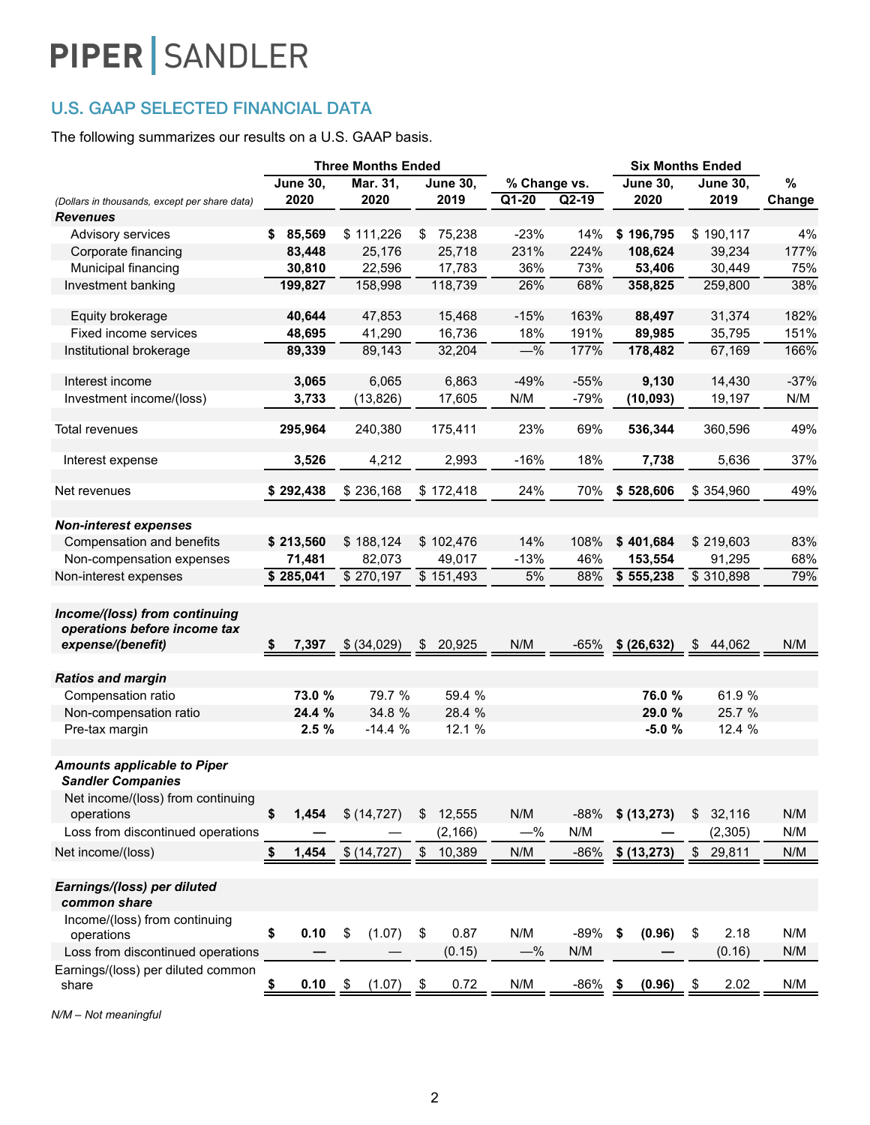### U.S. GAAP SELECTED FINANCIAL DATA

The following summarizes our results on a U.S. GAAP basis.

| <b>June 30,</b><br><b>June 30,</b><br>Mar. 31,<br><b>June 30,</b><br>%<br>% Change vs.<br><b>June 30,</b><br>$\overline{Q1-20}$<br>2020<br>2020<br>2019<br>$Q2-19$<br>2020<br>2019<br>Change<br>(Dollars in thousands, except per share data)<br><b>Revenues</b><br>\$111,226<br>75,238<br>$-23%$<br>14%<br>\$196,795<br>\$190,117<br>4%<br>Advisory services<br>\$85.569<br>\$<br>25,176<br>25,718<br>231%<br>224%<br>108,624<br>39,234<br>177%<br>Corporate financing<br>83.448<br>22,596<br>17,783<br>Municipal financing<br>30,810<br>36%<br>73%<br>53,406<br>30,449<br>75%<br>118,739<br>68%<br>38%<br>Investment banking<br>199,827<br>158,998<br>26%<br>358,825<br>259,800<br>47,853<br>163%<br>88,497<br>31,374<br>182%<br>Equity brokerage<br>40,644<br>15,468<br>$-15%$<br>41,290<br>16,736<br>191%<br>Fixed income services<br>48,695<br>18%<br>89,985<br>35,795<br>151%<br>$-\frac{9}{6}$<br>177%<br>178,482<br>67,169<br>89,339<br>89,143<br>32,204<br>166%<br>Institutional brokerage<br>$-49%$<br>$-55%$<br>Interest income<br>3,065<br>6,065<br>6,863<br>9,130<br>14,430<br>$-37%$<br>N/M<br>Investment income/(loss)<br>3,733<br>(13, 826)<br>17,605<br>$-79%$<br>(10, 093)<br>19,197<br>N/M<br>240,380<br>23%<br>69%<br>536,344<br>360,596<br>49%<br>Total revenues<br>295,964<br>175,411<br>4,212<br>2,993<br>$-16%$<br>18%<br>5,636<br>3,526<br>7,738<br>37%<br>Interest expense<br>\$292,438<br>\$172,418<br>24%<br>\$528,606<br>49%<br>Net revenues<br>\$236,168<br>70%<br>\$354,960<br><b>Non-interest expenses</b><br>Compensation and benefits<br>\$213,560<br>\$188,124<br>\$102,476<br>14%<br>108%<br>\$401,684<br>83%<br>\$219,603<br>Non-compensation expenses<br>82,073<br>49,017<br>$-13%$<br>46%<br>91,295<br>68%<br>71,481<br>153,554<br>\$270,197<br>\$151,493<br>\$310,898<br>88%<br>79%<br>\$285,041<br>5%<br>\$555,238<br>Non-interest expenses<br>Income/(loss) from continuing<br>operations before income tax<br>N/M<br>expense/(benefit)<br>7,397<br>\$ (34,029)<br>20,925<br>$-65%$<br>\$ (26, 632)<br>N/M<br>\$<br>\$<br>\$<br>44,062<br><b>Ratios and margin</b><br>Compensation ratio<br>73.0 %<br>79.7 %<br>59.4 %<br>76.0 %<br>61.9 %<br>Non-compensation ratio<br>24.4 %<br>34.8 %<br>28.4 %<br>29.0 %<br>25.7 %<br>Pre-tax margin<br>2.5%<br>$-14.4%$<br>12.1 %<br>$-5.0%$<br>12.4 %<br><b>Amounts applicable to Piper</b><br><b>Sandler Companies</b><br>Net income/(loss) from continuing<br>operations<br>\$<br>\$(14, 727)<br>12,555<br>N/M<br>$-88%$<br>\$ (13,273)<br>32,116<br>N/M<br>1,454<br>\$<br>\$<br>N/M<br>Loss from discontinued operations<br>(2, 166)<br>$-\%$<br>(2, 305)<br>N/M<br>Net income/(loss)<br>\$<br>\$<br>1,454<br>\$(14, 727)<br>10,389<br>N/M<br>$-86%$<br>\$ (13,273)<br>29,811<br>N/M<br>\$<br>Earnings/(loss) per diluted<br>common share<br>Income/(loss) from continuing<br>\$<br>0.10<br>(1.07)<br>\$<br>0.87<br>N/M<br>$-89%$<br>2.18<br>\$<br>\$<br>(0.96)<br>\$<br>N/M<br>operations<br>(0.15)<br>N/M<br>N/M<br>$-\%$<br>(0.16)<br>Loss from discontinued operations<br>Earnings/(loss) per diluted common<br>0.72<br>N/M<br>-86%<br>N/M<br>0.10<br>(1.07)<br>2.02<br>(0.96)<br>share<br>\$<br>\$<br>\$<br>\$<br>\$ |  | <b>Three Months Ended</b> |  | <b>Six Months Ended</b> |  |  |  |
|--------------------------------------------------------------------------------------------------------------------------------------------------------------------------------------------------------------------------------------------------------------------------------------------------------------------------------------------------------------------------------------------------------------------------------------------------------------------------------------------------------------------------------------------------------------------------------------------------------------------------------------------------------------------------------------------------------------------------------------------------------------------------------------------------------------------------------------------------------------------------------------------------------------------------------------------------------------------------------------------------------------------------------------------------------------------------------------------------------------------------------------------------------------------------------------------------------------------------------------------------------------------------------------------------------------------------------------------------------------------------------------------------------------------------------------------------------------------------------------------------------------------------------------------------------------------------------------------------------------------------------------------------------------------------------------------------------------------------------------------------------------------------------------------------------------------------------------------------------------------------------------------------------------------------------------------------------------------------------------------------------------------------------------------------------------------------------------------------------------------------------------------------------------------------------------------------------------------------------------------------------------------------------------------------------------------------------------------------------------------------------------------------------------------------------------------------------------------------------------------------------------------------------------------------------------------------------------------------------------------------------------------------------------------------------------------------------------------------------------------------------------------------------------------------------------------------------------------------------------------------------------------------------------------------------------------------------------------------------------------------------------------------------------------------------------------------------------------------------------------------------------------------------------------------------------------------------------|--|---------------------------|--|-------------------------|--|--|--|
|                                                                                                                                                                                                                                                                                                                                                                                                                                                                                                                                                                                                                                                                                                                                                                                                                                                                                                                                                                                                                                                                                                                                                                                                                                                                                                                                                                                                                                                                                                                                                                                                                                                                                                                                                                                                                                                                                                                                                                                                                                                                                                                                                                                                                                                                                                                                                                                                                                                                                                                                                                                                                                                                                                                                                                                                                                                                                                                                                                                                                                                                                                                                                                                                              |  |                           |  |                         |  |  |  |
|                                                                                                                                                                                                                                                                                                                                                                                                                                                                                                                                                                                                                                                                                                                                                                                                                                                                                                                                                                                                                                                                                                                                                                                                                                                                                                                                                                                                                                                                                                                                                                                                                                                                                                                                                                                                                                                                                                                                                                                                                                                                                                                                                                                                                                                                                                                                                                                                                                                                                                                                                                                                                                                                                                                                                                                                                                                                                                                                                                                                                                                                                                                                                                                                              |  |                           |  |                         |  |  |  |
|                                                                                                                                                                                                                                                                                                                                                                                                                                                                                                                                                                                                                                                                                                                                                                                                                                                                                                                                                                                                                                                                                                                                                                                                                                                                                                                                                                                                                                                                                                                                                                                                                                                                                                                                                                                                                                                                                                                                                                                                                                                                                                                                                                                                                                                                                                                                                                                                                                                                                                                                                                                                                                                                                                                                                                                                                                                                                                                                                                                                                                                                                                                                                                                                              |  |                           |  |                         |  |  |  |
|                                                                                                                                                                                                                                                                                                                                                                                                                                                                                                                                                                                                                                                                                                                                                                                                                                                                                                                                                                                                                                                                                                                                                                                                                                                                                                                                                                                                                                                                                                                                                                                                                                                                                                                                                                                                                                                                                                                                                                                                                                                                                                                                                                                                                                                                                                                                                                                                                                                                                                                                                                                                                                                                                                                                                                                                                                                                                                                                                                                                                                                                                                                                                                                                              |  |                           |  |                         |  |  |  |
|                                                                                                                                                                                                                                                                                                                                                                                                                                                                                                                                                                                                                                                                                                                                                                                                                                                                                                                                                                                                                                                                                                                                                                                                                                                                                                                                                                                                                                                                                                                                                                                                                                                                                                                                                                                                                                                                                                                                                                                                                                                                                                                                                                                                                                                                                                                                                                                                                                                                                                                                                                                                                                                                                                                                                                                                                                                                                                                                                                                                                                                                                                                                                                                                              |  |                           |  |                         |  |  |  |
|                                                                                                                                                                                                                                                                                                                                                                                                                                                                                                                                                                                                                                                                                                                                                                                                                                                                                                                                                                                                                                                                                                                                                                                                                                                                                                                                                                                                                                                                                                                                                                                                                                                                                                                                                                                                                                                                                                                                                                                                                                                                                                                                                                                                                                                                                                                                                                                                                                                                                                                                                                                                                                                                                                                                                                                                                                                                                                                                                                                                                                                                                                                                                                                                              |  |                           |  |                         |  |  |  |
|                                                                                                                                                                                                                                                                                                                                                                                                                                                                                                                                                                                                                                                                                                                                                                                                                                                                                                                                                                                                                                                                                                                                                                                                                                                                                                                                                                                                                                                                                                                                                                                                                                                                                                                                                                                                                                                                                                                                                                                                                                                                                                                                                                                                                                                                                                                                                                                                                                                                                                                                                                                                                                                                                                                                                                                                                                                                                                                                                                                                                                                                                                                                                                                                              |  |                           |  |                         |  |  |  |
|                                                                                                                                                                                                                                                                                                                                                                                                                                                                                                                                                                                                                                                                                                                                                                                                                                                                                                                                                                                                                                                                                                                                                                                                                                                                                                                                                                                                                                                                                                                                                                                                                                                                                                                                                                                                                                                                                                                                                                                                                                                                                                                                                                                                                                                                                                                                                                                                                                                                                                                                                                                                                                                                                                                                                                                                                                                                                                                                                                                                                                                                                                                                                                                                              |  |                           |  |                         |  |  |  |
|                                                                                                                                                                                                                                                                                                                                                                                                                                                                                                                                                                                                                                                                                                                                                                                                                                                                                                                                                                                                                                                                                                                                                                                                                                                                                                                                                                                                                                                                                                                                                                                                                                                                                                                                                                                                                                                                                                                                                                                                                                                                                                                                                                                                                                                                                                                                                                                                                                                                                                                                                                                                                                                                                                                                                                                                                                                                                                                                                                                                                                                                                                                                                                                                              |  |                           |  |                         |  |  |  |
|                                                                                                                                                                                                                                                                                                                                                                                                                                                                                                                                                                                                                                                                                                                                                                                                                                                                                                                                                                                                                                                                                                                                                                                                                                                                                                                                                                                                                                                                                                                                                                                                                                                                                                                                                                                                                                                                                                                                                                                                                                                                                                                                                                                                                                                                                                                                                                                                                                                                                                                                                                                                                                                                                                                                                                                                                                                                                                                                                                                                                                                                                                                                                                                                              |  |                           |  |                         |  |  |  |
|                                                                                                                                                                                                                                                                                                                                                                                                                                                                                                                                                                                                                                                                                                                                                                                                                                                                                                                                                                                                                                                                                                                                                                                                                                                                                                                                                                                                                                                                                                                                                                                                                                                                                                                                                                                                                                                                                                                                                                                                                                                                                                                                                                                                                                                                                                                                                                                                                                                                                                                                                                                                                                                                                                                                                                                                                                                                                                                                                                                                                                                                                                                                                                                                              |  |                           |  |                         |  |  |  |
|                                                                                                                                                                                                                                                                                                                                                                                                                                                                                                                                                                                                                                                                                                                                                                                                                                                                                                                                                                                                                                                                                                                                                                                                                                                                                                                                                                                                                                                                                                                                                                                                                                                                                                                                                                                                                                                                                                                                                                                                                                                                                                                                                                                                                                                                                                                                                                                                                                                                                                                                                                                                                                                                                                                                                                                                                                                                                                                                                                                                                                                                                                                                                                                                              |  |                           |  |                         |  |  |  |
|                                                                                                                                                                                                                                                                                                                                                                                                                                                                                                                                                                                                                                                                                                                                                                                                                                                                                                                                                                                                                                                                                                                                                                                                                                                                                                                                                                                                                                                                                                                                                                                                                                                                                                                                                                                                                                                                                                                                                                                                                                                                                                                                                                                                                                                                                                                                                                                                                                                                                                                                                                                                                                                                                                                                                                                                                                                                                                                                                                                                                                                                                                                                                                                                              |  |                           |  |                         |  |  |  |
|                                                                                                                                                                                                                                                                                                                                                                                                                                                                                                                                                                                                                                                                                                                                                                                                                                                                                                                                                                                                                                                                                                                                                                                                                                                                                                                                                                                                                                                                                                                                                                                                                                                                                                                                                                                                                                                                                                                                                                                                                                                                                                                                                                                                                                                                                                                                                                                                                                                                                                                                                                                                                                                                                                                                                                                                                                                                                                                                                                                                                                                                                                                                                                                                              |  |                           |  |                         |  |  |  |
|                                                                                                                                                                                                                                                                                                                                                                                                                                                                                                                                                                                                                                                                                                                                                                                                                                                                                                                                                                                                                                                                                                                                                                                                                                                                                                                                                                                                                                                                                                                                                                                                                                                                                                                                                                                                                                                                                                                                                                                                                                                                                                                                                                                                                                                                                                                                                                                                                                                                                                                                                                                                                                                                                                                                                                                                                                                                                                                                                                                                                                                                                                                                                                                                              |  |                           |  |                         |  |  |  |
|                                                                                                                                                                                                                                                                                                                                                                                                                                                                                                                                                                                                                                                                                                                                                                                                                                                                                                                                                                                                                                                                                                                                                                                                                                                                                                                                                                                                                                                                                                                                                                                                                                                                                                                                                                                                                                                                                                                                                                                                                                                                                                                                                                                                                                                                                                                                                                                                                                                                                                                                                                                                                                                                                                                                                                                                                                                                                                                                                                                                                                                                                                                                                                                                              |  |                           |  |                         |  |  |  |
|                                                                                                                                                                                                                                                                                                                                                                                                                                                                                                                                                                                                                                                                                                                                                                                                                                                                                                                                                                                                                                                                                                                                                                                                                                                                                                                                                                                                                                                                                                                                                                                                                                                                                                                                                                                                                                                                                                                                                                                                                                                                                                                                                                                                                                                                                                                                                                                                                                                                                                                                                                                                                                                                                                                                                                                                                                                                                                                                                                                                                                                                                                                                                                                                              |  |                           |  |                         |  |  |  |
|                                                                                                                                                                                                                                                                                                                                                                                                                                                                                                                                                                                                                                                                                                                                                                                                                                                                                                                                                                                                                                                                                                                                                                                                                                                                                                                                                                                                                                                                                                                                                                                                                                                                                                                                                                                                                                                                                                                                                                                                                                                                                                                                                                                                                                                                                                                                                                                                                                                                                                                                                                                                                                                                                                                                                                                                                                                                                                                                                                                                                                                                                                                                                                                                              |  |                           |  |                         |  |  |  |
|                                                                                                                                                                                                                                                                                                                                                                                                                                                                                                                                                                                                                                                                                                                                                                                                                                                                                                                                                                                                                                                                                                                                                                                                                                                                                                                                                                                                                                                                                                                                                                                                                                                                                                                                                                                                                                                                                                                                                                                                                                                                                                                                                                                                                                                                                                                                                                                                                                                                                                                                                                                                                                                                                                                                                                                                                                                                                                                                                                                                                                                                                                                                                                                                              |  |                           |  |                         |  |  |  |
|                                                                                                                                                                                                                                                                                                                                                                                                                                                                                                                                                                                                                                                                                                                                                                                                                                                                                                                                                                                                                                                                                                                                                                                                                                                                                                                                                                                                                                                                                                                                                                                                                                                                                                                                                                                                                                                                                                                                                                                                                                                                                                                                                                                                                                                                                                                                                                                                                                                                                                                                                                                                                                                                                                                                                                                                                                                                                                                                                                                                                                                                                                                                                                                                              |  |                           |  |                         |  |  |  |
|                                                                                                                                                                                                                                                                                                                                                                                                                                                                                                                                                                                                                                                                                                                                                                                                                                                                                                                                                                                                                                                                                                                                                                                                                                                                                                                                                                                                                                                                                                                                                                                                                                                                                                                                                                                                                                                                                                                                                                                                                                                                                                                                                                                                                                                                                                                                                                                                                                                                                                                                                                                                                                                                                                                                                                                                                                                                                                                                                                                                                                                                                                                                                                                                              |  |                           |  |                         |  |  |  |
|                                                                                                                                                                                                                                                                                                                                                                                                                                                                                                                                                                                                                                                                                                                                                                                                                                                                                                                                                                                                                                                                                                                                                                                                                                                                                                                                                                                                                                                                                                                                                                                                                                                                                                                                                                                                                                                                                                                                                                                                                                                                                                                                                                                                                                                                                                                                                                                                                                                                                                                                                                                                                                                                                                                                                                                                                                                                                                                                                                                                                                                                                                                                                                                                              |  |                           |  |                         |  |  |  |
|                                                                                                                                                                                                                                                                                                                                                                                                                                                                                                                                                                                                                                                                                                                                                                                                                                                                                                                                                                                                                                                                                                                                                                                                                                                                                                                                                                                                                                                                                                                                                                                                                                                                                                                                                                                                                                                                                                                                                                                                                                                                                                                                                                                                                                                                                                                                                                                                                                                                                                                                                                                                                                                                                                                                                                                                                                                                                                                                                                                                                                                                                                                                                                                                              |  |                           |  |                         |  |  |  |
|                                                                                                                                                                                                                                                                                                                                                                                                                                                                                                                                                                                                                                                                                                                                                                                                                                                                                                                                                                                                                                                                                                                                                                                                                                                                                                                                                                                                                                                                                                                                                                                                                                                                                                                                                                                                                                                                                                                                                                                                                                                                                                                                                                                                                                                                                                                                                                                                                                                                                                                                                                                                                                                                                                                                                                                                                                                                                                                                                                                                                                                                                                                                                                                                              |  |                           |  |                         |  |  |  |
|                                                                                                                                                                                                                                                                                                                                                                                                                                                                                                                                                                                                                                                                                                                                                                                                                                                                                                                                                                                                                                                                                                                                                                                                                                                                                                                                                                                                                                                                                                                                                                                                                                                                                                                                                                                                                                                                                                                                                                                                                                                                                                                                                                                                                                                                                                                                                                                                                                                                                                                                                                                                                                                                                                                                                                                                                                                                                                                                                                                                                                                                                                                                                                                                              |  |                           |  |                         |  |  |  |
|                                                                                                                                                                                                                                                                                                                                                                                                                                                                                                                                                                                                                                                                                                                                                                                                                                                                                                                                                                                                                                                                                                                                                                                                                                                                                                                                                                                                                                                                                                                                                                                                                                                                                                                                                                                                                                                                                                                                                                                                                                                                                                                                                                                                                                                                                                                                                                                                                                                                                                                                                                                                                                                                                                                                                                                                                                                                                                                                                                                                                                                                                                                                                                                                              |  |                           |  |                         |  |  |  |
|                                                                                                                                                                                                                                                                                                                                                                                                                                                                                                                                                                                                                                                                                                                                                                                                                                                                                                                                                                                                                                                                                                                                                                                                                                                                                                                                                                                                                                                                                                                                                                                                                                                                                                                                                                                                                                                                                                                                                                                                                                                                                                                                                                                                                                                                                                                                                                                                                                                                                                                                                                                                                                                                                                                                                                                                                                                                                                                                                                                                                                                                                                                                                                                                              |  |                           |  |                         |  |  |  |
|                                                                                                                                                                                                                                                                                                                                                                                                                                                                                                                                                                                                                                                                                                                                                                                                                                                                                                                                                                                                                                                                                                                                                                                                                                                                                                                                                                                                                                                                                                                                                                                                                                                                                                                                                                                                                                                                                                                                                                                                                                                                                                                                                                                                                                                                                                                                                                                                                                                                                                                                                                                                                                                                                                                                                                                                                                                                                                                                                                                                                                                                                                                                                                                                              |  |                           |  |                         |  |  |  |
|                                                                                                                                                                                                                                                                                                                                                                                                                                                                                                                                                                                                                                                                                                                                                                                                                                                                                                                                                                                                                                                                                                                                                                                                                                                                                                                                                                                                                                                                                                                                                                                                                                                                                                                                                                                                                                                                                                                                                                                                                                                                                                                                                                                                                                                                                                                                                                                                                                                                                                                                                                                                                                                                                                                                                                                                                                                                                                                                                                                                                                                                                                                                                                                                              |  |                           |  |                         |  |  |  |
|                                                                                                                                                                                                                                                                                                                                                                                                                                                                                                                                                                                                                                                                                                                                                                                                                                                                                                                                                                                                                                                                                                                                                                                                                                                                                                                                                                                                                                                                                                                                                                                                                                                                                                                                                                                                                                                                                                                                                                                                                                                                                                                                                                                                                                                                                                                                                                                                                                                                                                                                                                                                                                                                                                                                                                                                                                                                                                                                                                                                                                                                                                                                                                                                              |  |                           |  |                         |  |  |  |
|                                                                                                                                                                                                                                                                                                                                                                                                                                                                                                                                                                                                                                                                                                                                                                                                                                                                                                                                                                                                                                                                                                                                                                                                                                                                                                                                                                                                                                                                                                                                                                                                                                                                                                                                                                                                                                                                                                                                                                                                                                                                                                                                                                                                                                                                                                                                                                                                                                                                                                                                                                                                                                                                                                                                                                                                                                                                                                                                                                                                                                                                                                                                                                                                              |  |                           |  |                         |  |  |  |
|                                                                                                                                                                                                                                                                                                                                                                                                                                                                                                                                                                                                                                                                                                                                                                                                                                                                                                                                                                                                                                                                                                                                                                                                                                                                                                                                                                                                                                                                                                                                                                                                                                                                                                                                                                                                                                                                                                                                                                                                                                                                                                                                                                                                                                                                                                                                                                                                                                                                                                                                                                                                                                                                                                                                                                                                                                                                                                                                                                                                                                                                                                                                                                                                              |  |                           |  |                         |  |  |  |
|                                                                                                                                                                                                                                                                                                                                                                                                                                                                                                                                                                                                                                                                                                                                                                                                                                                                                                                                                                                                                                                                                                                                                                                                                                                                                                                                                                                                                                                                                                                                                                                                                                                                                                                                                                                                                                                                                                                                                                                                                                                                                                                                                                                                                                                                                                                                                                                                                                                                                                                                                                                                                                                                                                                                                                                                                                                                                                                                                                                                                                                                                                                                                                                                              |  |                           |  |                         |  |  |  |
|                                                                                                                                                                                                                                                                                                                                                                                                                                                                                                                                                                                                                                                                                                                                                                                                                                                                                                                                                                                                                                                                                                                                                                                                                                                                                                                                                                                                                                                                                                                                                                                                                                                                                                                                                                                                                                                                                                                                                                                                                                                                                                                                                                                                                                                                                                                                                                                                                                                                                                                                                                                                                                                                                                                                                                                                                                                                                                                                                                                                                                                                                                                                                                                                              |  |                           |  |                         |  |  |  |

*N/M – Not meaningful*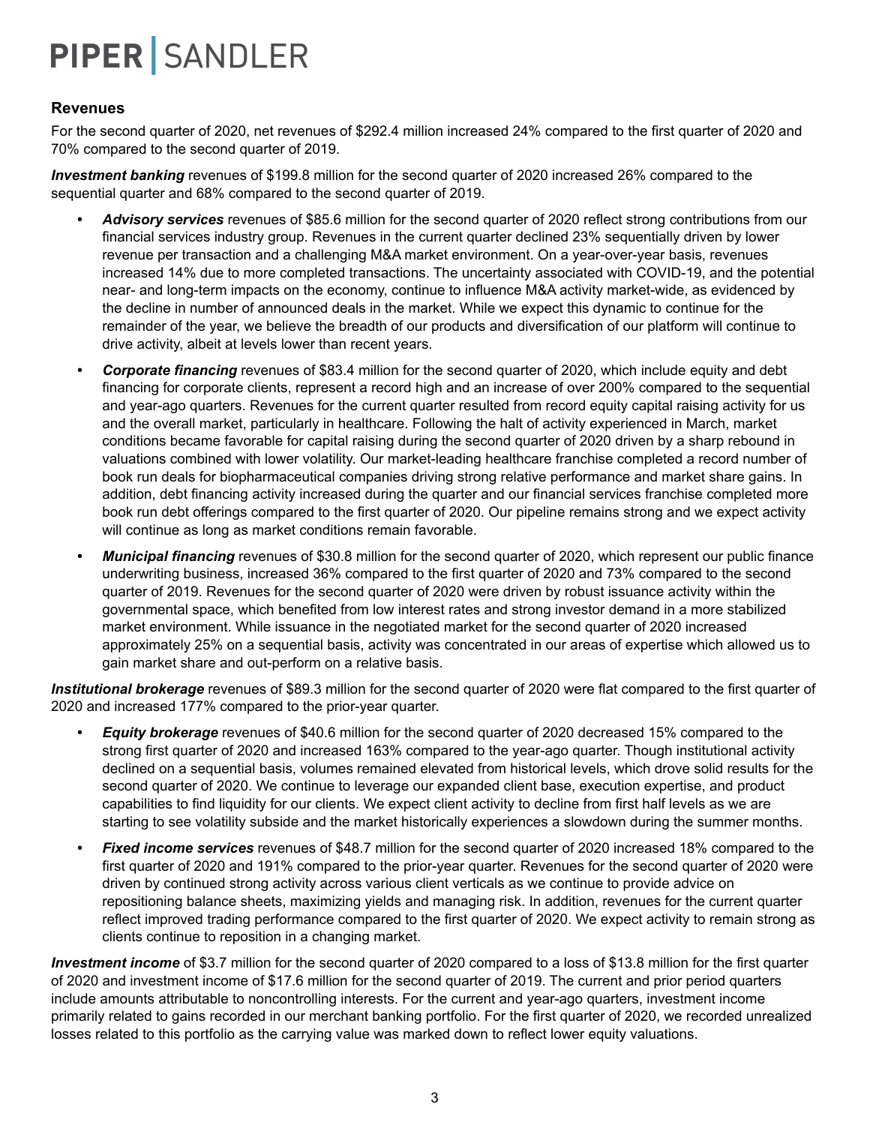#### **Revenues**

For the second quarter of 2020, net revenues of \$292.4 million increased 24% compared to the first quarter of 2020 and 70% compared to the second quarter of 2019.

*Investment banking* revenues of \$199.8 million for the second quarter of 2020 increased 26% compared to the sequential quarter and 68% compared to the second quarter of 2019.

- *• Advisory services* revenues of \$85.6 million for the second quarter of 2020 reflect strong contributions from our financial services industry group. Revenues in the current quarter declined 23% sequentially driven by lower revenue per transaction and a challenging M&A market environment. On a year-over-year basis, revenues increased 14% due to more completed transactions. The uncertainty associated with COVID-19, and the potential near- and long-term impacts on the economy, continue to influence M&A activity market-wide, as evidenced by the decline in number of announced deals in the market. While we expect this dynamic to continue for the remainder of the year, we believe the breadth of our products and diversification of our platform will continue to drive activity, albeit at levels lower than recent years.
- *• Corporate financing* revenues of \$83.4 million for the second quarter of 2020, which include equity and debt financing for corporate clients, represent a record high and an increase of over 200% compared to the sequential and year-ago quarters. Revenues for the current quarter resulted from record equity capital raising activity for us and the overall market, particularly in healthcare. Following the halt of activity experienced in March, market conditions became favorable for capital raising during the second quarter of 2020 driven by a sharp rebound in valuations combined with lower volatility. Our market-leading healthcare franchise completed a record number of book run deals for biopharmaceutical companies driving strong relative performance and market share gains. In addition, debt financing activity increased during the quarter and our financial services franchise completed more book run debt offerings compared to the first quarter of 2020. Our pipeline remains strong and we expect activity will continue as long as market conditions remain favorable.
- *• Municipal financing* revenues of \$30.8 million for the second quarter of 2020, which represent our public finance underwriting business, increased 36% compared to the first quarter of 2020 and 73% compared to the second quarter of 2019. Revenues for the second quarter of 2020 were driven by robust issuance activity within the governmental space, which benefited from low interest rates and strong investor demand in a more stabilized market environment. While issuance in the negotiated market for the second quarter of 2020 increased approximately 25% on a sequential basis, activity was concentrated in our areas of expertise which allowed us to gain market share and out-perform on a relative basis.

*Institutional brokerage* revenues of \$89.3 million for the second quarter of 2020 were flat compared to the first quarter of 2020 and increased 177% compared to the prior-year quarter.

- *• Equity brokerage* revenues of \$40.6 million for the second quarter of 2020 decreased 15% compared to the strong first quarter of 2020 and increased 163% compared to the year-ago quarter. Though institutional activity declined on a sequential basis, volumes remained elevated from historical levels, which drove solid results for the second quarter of 2020. We continue to leverage our expanded client base, execution expertise, and product capabilities to find liquidity for our clients. We expect client activity to decline from first half levels as we are starting to see volatility subside and the market historically experiences a slowdown during the summer months.
- *• Fixed income services* revenues of \$48.7 million for the second quarter of 2020 increased 18% compared to the first quarter of 2020 and 191% compared to the prior-year quarter. Revenues for the second quarter of 2020 were driven by continued strong activity across various client verticals as we continue to provide advice on repositioning balance sheets, maximizing yields and managing risk. In addition, revenues for the current quarter reflect improved trading performance compared to the first quarter of 2020. We expect activity to remain strong as clients continue to reposition in a changing market.

*Investment income* of \$3.7 million for the second quarter of 2020 compared to a loss of \$13.8 million for the first quarter of 2020 and investment income of \$17.6 million for the second quarter of 2019. The current and prior period quarters include amounts attributable to noncontrolling interests. For the current and year-ago quarters, investment income primarily related to gains recorded in our merchant banking portfolio. For the first quarter of 2020, we recorded unrealized losses related to this portfolio as the carrying value was marked down to reflect lower equity valuations.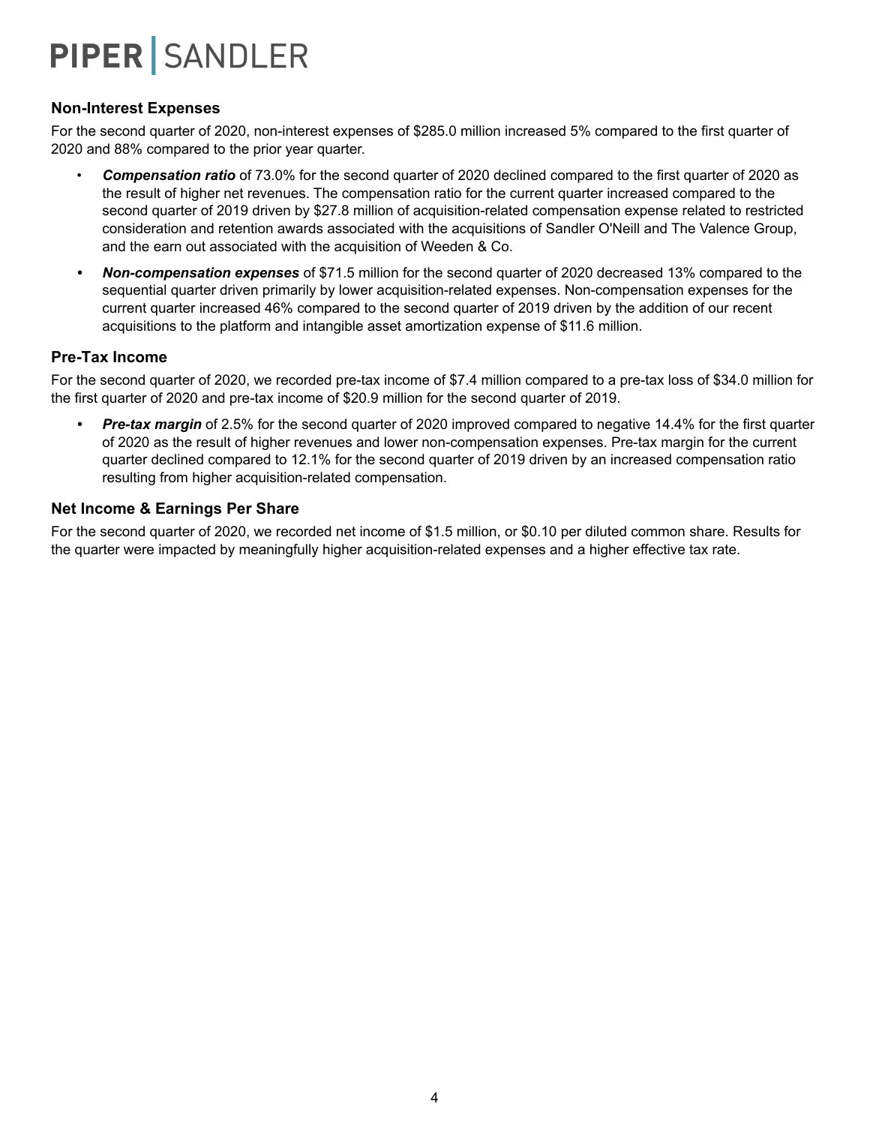#### **Non-Interest Expenses**

For the second quarter of 2020, non-interest expenses of \$285.0 million increased 5% compared to the first quarter of 2020 and 88% compared to the prior year quarter.

- *Compensation ratio* of 73.0% for the second quarter of 2020 declined compared to the first quarter of 2020 as the result of higher net revenues. The compensation ratio for the current quarter increased compared to the second quarter of 2019 driven by \$27.8 million of acquisition-related compensation expense related to restricted consideration and retention awards associated with the acquisitions of Sandler O'Neill and The Valence Group, and the earn out associated with the acquisition of Weeden & Co.
- *• Non-compensation expenses* of \$71.5 million for the second quarter of 2020 decreased 13% compared to the sequential quarter driven primarily by lower acquisition-related expenses. Non-compensation expenses for the current quarter increased 46% compared to the second quarter of 2019 driven by the addition of our recent acquisitions to the platform and intangible asset amortization expense of \$11.6 million.

#### **Pre-Tax Income**

For the second quarter of 2020, we recorded pre-tax income of \$7.4 million compared to a pre-tax loss of \$34.0 million for the first quarter of 2020 and pre-tax income of \$20.9 million for the second quarter of 2019.

*• Pre-tax margin* of 2.5% for the second quarter of 2020 improved compared to negative 14.4% for the first quarter of 2020 as the result of higher revenues and lower non-compensation expenses. Pre-tax margin for the current quarter declined compared to 12.1% for the second quarter of 2019 driven by an increased compensation ratio resulting from higher acquisition-related compensation.

#### **Net Income & Earnings Per Share**

For the second quarter of 2020, we recorded net income of \$1.5 million, or \$0.10 per diluted common share. Results for the quarter were impacted by meaningfully higher acquisition-related expenses and a higher effective tax rate.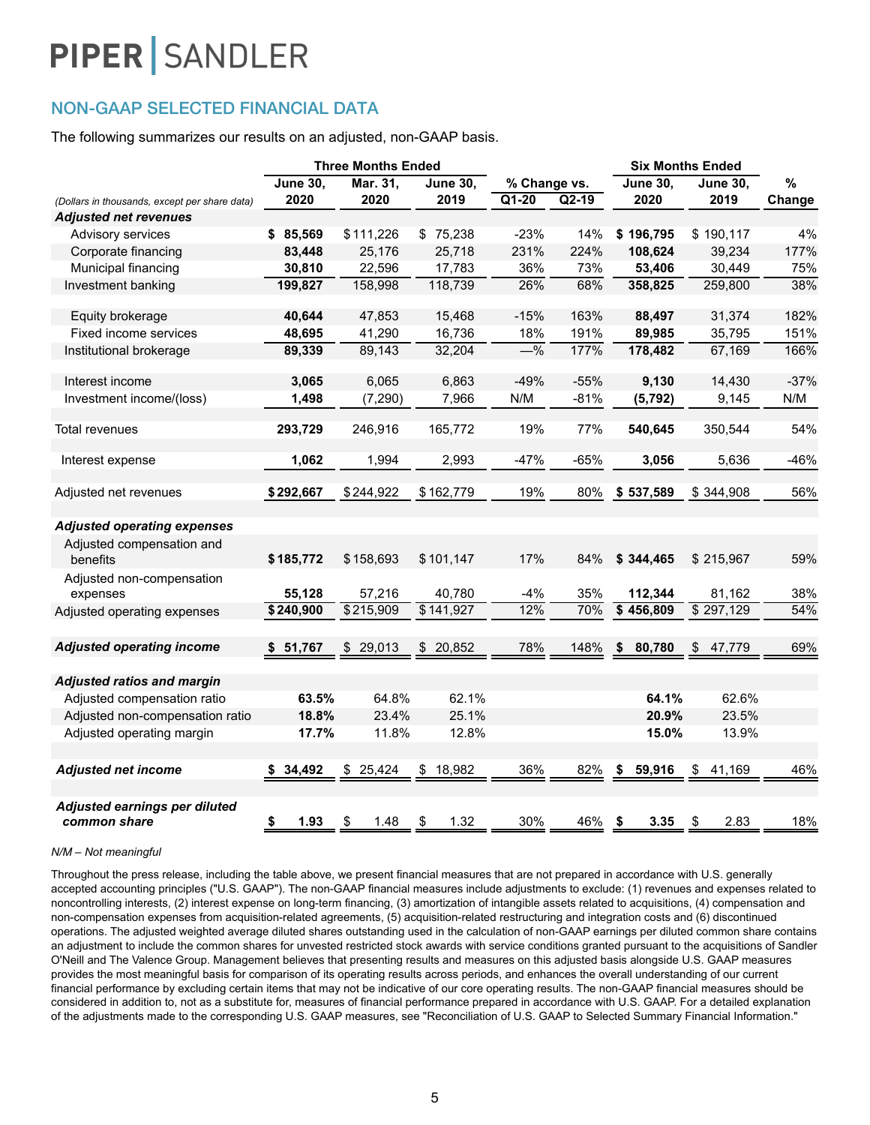### NON-GAAP SELECTED FINANCIAL DATA

The following summarizes our results on an adjusted, non-GAAP basis.

|                                                                             |                 | <b>Three Months Ended</b> |                                   |                    |         |                 | <b>Six Months Ended</b> |        |
|-----------------------------------------------------------------------------|-----------------|---------------------------|-----------------------------------|--------------------|---------|-----------------|-------------------------|--------|
|                                                                             | <b>June 30,</b> | Mar. 31,                  | <b>June 30,</b>                   | % Change vs.       |         | <b>June 30,</b> | <b>June 30,</b>         | %      |
| (Dollars in thousands, except per share data)                               | 2020            | 2020                      | 2019                              | $\overline{Q1-20}$ | $Q2-19$ | 2020            | 2019                    | Change |
| <b>Adjusted net revenues</b>                                                |                 |                           |                                   |                    |         |                 |                         |        |
| Advisory services                                                           | \$85,569        | \$111,226                 | \$75,238                          | $-23%$             | 14%     | \$196,795       | \$190,117               | 4%     |
| Corporate financing                                                         | 83,448          | 25,176                    | 25,718                            | 231%               | 224%    | 108,624         | 39,234                  | 177%   |
| Municipal financing                                                         | 30,810          | 22,596                    | 17,783                            | 36%                | 73%     | 53,406          | 30,449                  | 75%    |
| Investment banking                                                          | 199,827         | 158,998                   | 118,739                           | 26%                | 68%     | 358,825         | 259,800                 | 38%    |
| Equity brokerage                                                            | 40,644          | 47,853                    | 15,468                            | $-15%$             | 163%    | 88,497          | 31,374                  | 182%   |
| Fixed income services                                                       | 48,695          | 41,290                    | 16,736                            | 18%                | 191%    | 89,985          | 35,795                  | 151%   |
| Institutional brokerage                                                     | 89,339          | 89,143                    | 32,204                            | $-\frac{9}{6}$     | 177%    | 178,482         | 67,169                  | 166%   |
| Interest income                                                             | 3,065           | 6,065                     | 6,863                             | $-49%$             | $-55%$  | 9,130           | 14,430                  | $-37%$ |
| Investment income/(loss)                                                    | 1,498           | (7, 290)                  | 7,966                             | N/M                | $-81%$  | (5, 792)        | 9,145                   | N/M    |
| Total revenues                                                              | 293,729         | 246,916                   | 165,772                           | 19%                | 77%     | 540,645         | 350,544                 | 54%    |
| Interest expense                                                            | 1,062           | 1,994                     | 2,993                             | $-47%$             | $-65%$  | 3,056           | 5,636                   | $-46%$ |
| Adjusted net revenues                                                       | \$292,667       | \$244,922                 | \$162,779                         | 19%                | 80%     | \$537,589       | \$344,908               | 56%    |
| <b>Adjusted operating expenses</b><br>Adjusted compensation and<br>benefits | \$185,772       | \$158,693                 | \$101,147                         | 17%                | 84%     | \$344,465       | \$215,967               | 59%    |
| Adjusted non-compensation<br>expenses                                       | 55,128          | 57,216                    | 40,780                            | -4%                | 35%     | 112,344         | 81,162                  | 38%    |
| Adjusted operating expenses                                                 | \$240,900       | \$215,909                 | \$141,927                         | 12%                | 70%     | \$456,809       | \$297,129               | 54%    |
| <b>Adjusted operating income</b>                                            | 51,767<br>S.    | \$29,013                  | \$20,852                          | 78%                | 148%    | 80,780<br>\$    | \$<br>47.779            | 69%    |
| <b>Adjusted ratios and margin</b>                                           |                 |                           |                                   |                    |         |                 |                         |        |
| Adjusted compensation ratio                                                 | 63.5%           | 64.8%                     | 62.1%                             |                    |         | 64.1%           | 62.6%                   |        |
| Adjusted non-compensation ratio                                             | 18.8%           | 23.4%                     | 25.1%                             |                    |         | 20.9%           | 23.5%                   |        |
| Adjusted operating margin                                                   | 17.7%           | 11.8%                     | 12.8%                             |                    |         | 15.0%           | 13.9%                   |        |
| <b>Adjusted net income</b>                                                  | \$34,492        | \$25,424                  | \$18,982                          | 36%                | 82%     | \$<br>59,916    | \$<br>41,169            | 46%    |
| Adjusted earnings per diluted<br>common share                               | \$<br>1.93      | \$<br>1.48                | $\boldsymbol{\mathsf{S}}$<br>1.32 | 30%                | 46%     | 3.35<br>- \$    | \$<br>2.83              | 18%    |

#### *N/M – Not meaningful*

Throughout the press release, including the table above, we present financial measures that are not prepared in accordance with U.S. generally accepted accounting principles ("U.S. GAAP"). The non-GAAP financial measures include adjustments to exclude: (1) revenues and expenses related to noncontrolling interests, (2) interest expense on long-term financing, (3) amortization of intangible assets related to acquisitions, (4) compensation and non-compensation expenses from acquisition-related agreements, (5) acquisition-related restructuring and integration costs and (6) discontinued operations. The adjusted weighted average diluted shares outstanding used in the calculation of non-GAAP earnings per diluted common share contains an adjustment to include the common shares for unvested restricted stock awards with service conditions granted pursuant to the acquisitions of Sandler O'Neill and The Valence Group. Management believes that presenting results and measures on this adjusted basis alongside U.S. GAAP measures provides the most meaningful basis for comparison of its operating results across periods, and enhances the overall understanding of our current financial performance by excluding certain items that may not be indicative of our core operating results. The non-GAAP financial measures should be considered in addition to, not as a substitute for, measures of financial performance prepared in accordance with U.S. GAAP. For a detailed explanation of the adjustments made to the corresponding U.S. GAAP measures, see "Reconciliation of U.S. GAAP to Selected Summary Financial Information."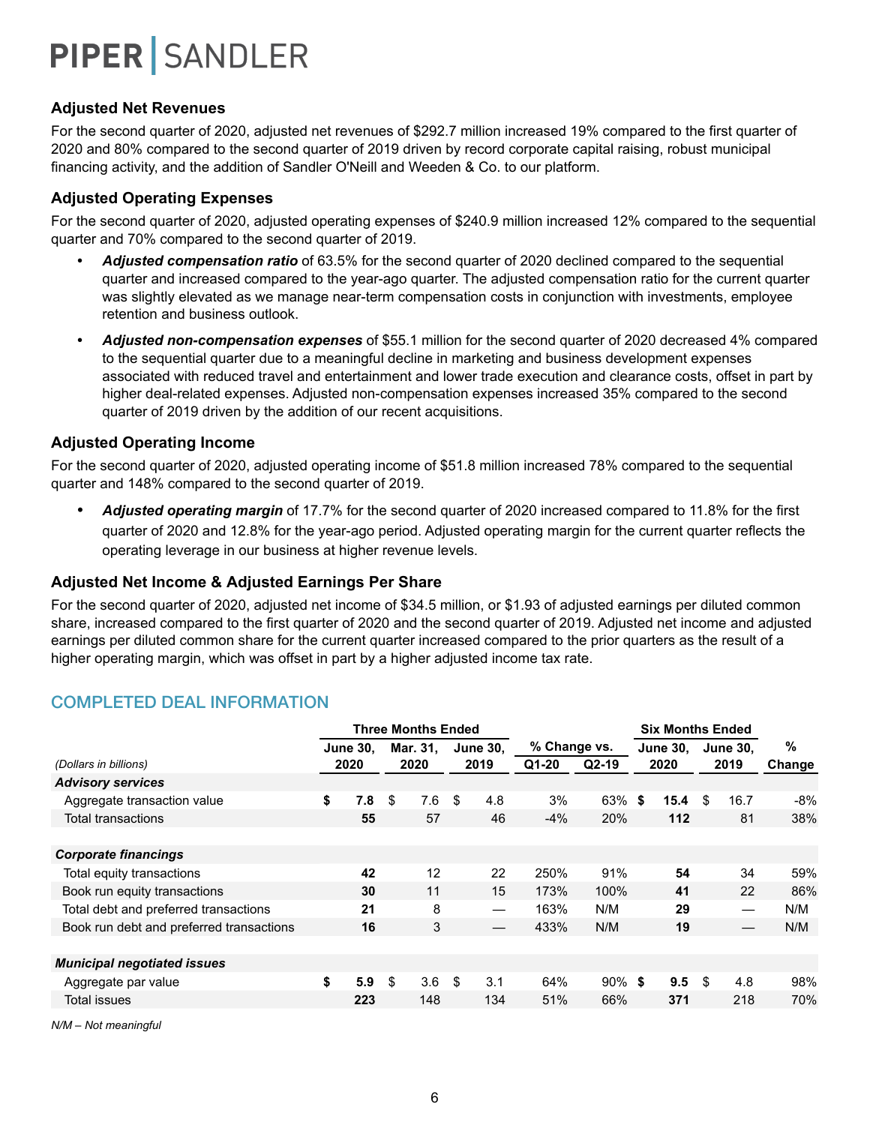#### **Adjusted Net Revenues**

For the second quarter of 2020, adjusted net revenues of \$292.7 million increased 19% compared to the first quarter of 2020 and 80% compared to the second quarter of 2019 driven by record corporate capital raising, robust municipal financing activity, and the addition of Sandler O'Neill and Weeden & Co. to our platform.

#### **Adjusted Operating Expenses**

For the second quarter of 2020, adjusted operating expenses of \$240.9 million increased 12% compared to the sequential quarter and 70% compared to the second quarter of 2019.

- *• Adjusted compensation ratio* of 63.5% for the second quarter of 2020 declined compared to the sequential quarter and increased compared to the year-ago quarter. The adjusted compensation ratio for the current quarter was slightly elevated as we manage near-term compensation costs in conjunction with investments, employee retention and business outlook.
- *• Adjusted non-compensation expenses* of \$55.1 million for the second quarter of 2020 decreased 4% compared to the sequential quarter due to a meaningful decline in marketing and business development expenses associated with reduced travel and entertainment and lower trade execution and clearance costs, offset in part by higher deal-related expenses. Adjusted non-compensation expenses increased 35% compared to the second quarter of 2019 driven by the addition of our recent acquisitions.

#### **Adjusted Operating Income**

For the second quarter of 2020, adjusted operating income of \$51.8 million increased 78% compared to the sequential quarter and 148% compared to the second quarter of 2019.

*• Adjusted operating margin* of 17.7% for the second quarter of 2020 increased compared to 11.8% for the first quarter of 2020 and 12.8% for the year-ago period. Adjusted operating margin for the current quarter reflects the operating leverage in our business at higher revenue levels.

#### **Adjusted Net Income & Adjusted Earnings Per Share**

For the second quarter of 2020, adjusted net income of \$34.5 million, or \$1.93 of adjusted earnings per diluted common share, increased compared to the first quarter of 2020 and the second quarter of 2019. Adjusted net income and adjusted earnings per diluted common share for the current quarter increased compared to the prior quarters as the result of a higher operating margin, which was offset in part by a higher adjusted income tax rate.

### COMPLETED DEAL INFORMATION

|                                          |                 | <b>Three Months Ended</b> |                 |              |           | <b>Six Months Ended</b> |      |                 |        |
|------------------------------------------|-----------------|---------------------------|-----------------|--------------|-----------|-------------------------|------|-----------------|--------|
|                                          | <b>June 30.</b> | Mar. 31.                  | <b>June 30.</b> | % Change vs. |           | <b>June 30.</b>         |      | <b>June 30.</b> | %      |
| (Dollars in billions)                    | 2020            | 2020                      | 2019            | Q1-20        | $Q2-19$   | 2020                    |      | 2019            | Change |
| <b>Advisory services</b>                 |                 |                           |                 |              |           |                         |      |                 |        |
| Aggregate transaction value              | \$<br>7.8       | \$<br>7.6                 | \$<br>4.8       | 3%           | 63%       | \$<br>15.4              | \$.  | 16.7            | -8%    |
| <b>Total transactions</b>                | 55              | 57                        | 46              | $-4%$        | 20%       | 112                     |      | 81              | 38%    |
|                                          |                 |                           |                 |              |           |                         |      |                 |        |
| <b>Corporate financings</b>              |                 |                           |                 |              |           |                         |      |                 |        |
| Total equity transactions                | 42              | 12                        | 22              | 250%         | 91%       | 54                      |      | 34              | 59%    |
| Book run equity transactions             | 30              | 11                        | 15              | 173%         | 100%      | 41                      |      | 22              | 86%    |
| Total debt and preferred transactions    | 21              | 8                         |                 | 163%         | N/M       | 29                      |      |                 | N/M    |
| Book run debt and preferred transactions | 16              | 3                         |                 | 433%         | N/M       | 19                      |      |                 | N/M    |
|                                          |                 |                           |                 |              |           |                         |      |                 |        |
| <b>Municipal negotiated issues</b>       |                 |                           |                 |              |           |                         |      |                 |        |
| Aggregate par value                      | \$<br>5.9       | \$<br>3.6                 | \$<br>3.1       | 64%          | $90\%$ \$ | 9.5                     | - \$ | 4.8             | 98%    |
| Total issues                             | 223             | 148                       | 134             | 51%          | 66%       | 371                     |      | 218             | 70%    |
|                                          |                 |                           |                 |              |           |                         |      |                 |        |

*N/M – Not meaningful*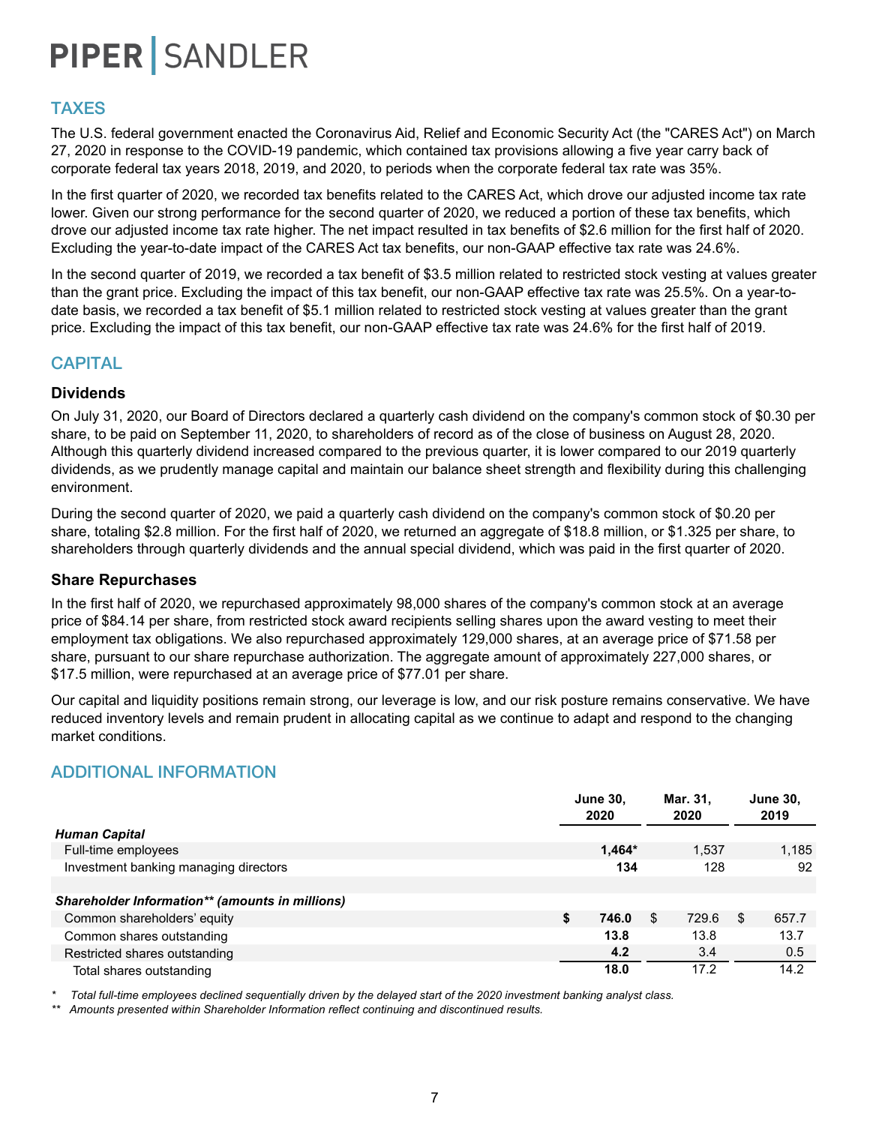### TAXES

The U.S. federal government enacted the Coronavirus Aid, Relief and Economic Security Act (the "CARES Act") on March 27, 2020 in response to the COVID-19 pandemic, which contained tax provisions allowing a five year carry back of corporate federal tax years 2018, 2019, and 2020, to periods when the corporate federal tax rate was 35%.

In the first quarter of 2020, we recorded tax benefits related to the CARES Act, which drove our adjusted income tax rate lower. Given our strong performance for the second quarter of 2020, we reduced a portion of these tax benefits, which drove our adjusted income tax rate higher. The net impact resulted in tax benefits of \$2.6 million for the first half of 2020. Excluding the year-to-date impact of the CARES Act tax benefits, our non-GAAP effective tax rate was 24.6%.

In the second quarter of 2019, we recorded a tax benefit of \$3.5 million related to restricted stock vesting at values greater than the grant price. Excluding the impact of this tax benefit, our non-GAAP effective tax rate was 25.5%. On a year-todate basis, we recorded a tax benefit of \$5.1 million related to restricted stock vesting at values greater than the grant price. Excluding the impact of this tax benefit, our non-GAAP effective tax rate was 24.6% for the first half of 2019.

### **CAPITAL**

#### **Dividends**

On July 31, 2020, our Board of Directors declared a quarterly cash dividend on the company's common stock of \$0.30 per share, to be paid on September 11, 2020, to shareholders of record as of the close of business on August 28, 2020. Although this quarterly dividend increased compared to the previous quarter, it is lower compared to our 2019 quarterly dividends, as we prudently manage capital and maintain our balance sheet strength and flexibility during this challenging environment.

During the second quarter of 2020, we paid a quarterly cash dividend on the company's common stock of \$0.20 per share, totaling \$2.8 million. For the first half of 2020, we returned an aggregate of \$18.8 million, or \$1.325 per share, to shareholders through quarterly dividends and the annual special dividend, which was paid in the first quarter of 2020.

#### **Share Repurchases**

In the first half of 2020, we repurchased approximately 98,000 shares of the company's common stock at an average price of \$84.14 per share, from restricted stock award recipients selling shares upon the award vesting to meet their employment tax obligations. We also repurchased approximately 129,000 shares, at an average price of \$71.58 per share, pursuant to our share repurchase authorization. The aggregate amount of approximately 227,000 shares, or \$17.5 million, were repurchased at an average price of \$77.01 per share.

Our capital and liquidity positions remain strong, our leverage is low, and our risk posture remains conservative. We have reduced inventory levels and remain prudent in allocating capital as we continue to adapt and respond to the changing market conditions.

### ADDITIONAL INFORMATION

|                                                 | <b>June 30,</b><br>2020 | Mar. 31,<br>2020 | <b>June 30,</b><br>2019 |
|-------------------------------------------------|-------------------------|------------------|-------------------------|
| <b>Human Capital</b>                            |                         |                  |                         |
| Full-time employees                             | $1,464*$                | 1.537            | 1,185                   |
| Investment banking managing directors           | 134                     | 128              | 92                      |
|                                                 |                         |                  |                         |
| Shareholder Information** (amounts in millions) |                         |                  |                         |
| Common shareholders' equity                     | \$<br>746.0             | 729.6<br>S       | \$<br>657.7             |
| Common shares outstanding                       | 13.8                    | 13.8             | 13.7                    |
| Restricted shares outstanding                   | 4.2                     | 3.4              | 0.5                     |
| Total shares outstanding                        | 18.0                    | 17.2             | 14.2                    |

*\* Total full-time employees declined sequentially driven by the delayed start of the 2020 investment banking analyst class.*

*\*\* Amounts presented within Shareholder Information reflect continuing and discontinued results.*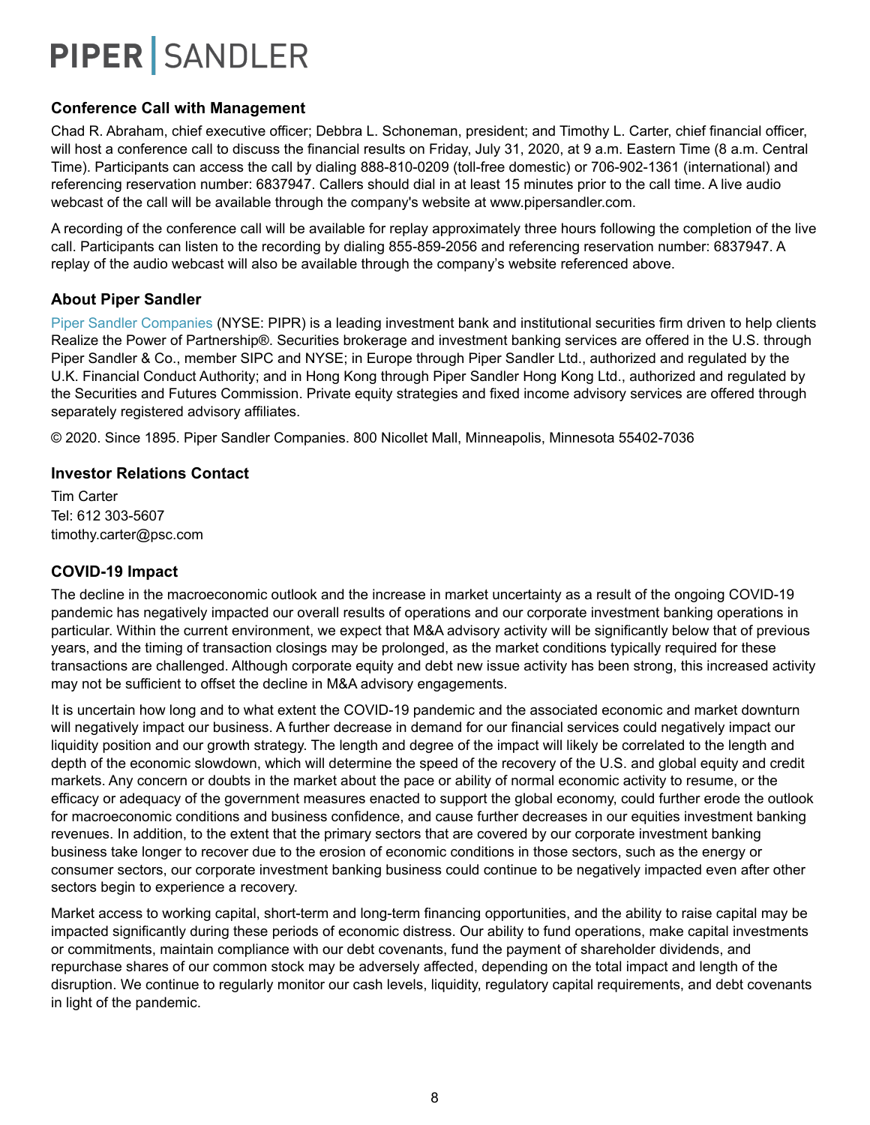### **Conference Call with Management**

Chad R. Abraham, chief executive officer; Debbra L. Schoneman, president; and Timothy L. Carter, chief financial officer, will host a conference call to discuss the financial results on Friday, July 31, 2020, at 9 a.m. Eastern Time (8 a.m. Central Time). Participants can access the call by dialing 888-810-0209 (toll-free domestic) or 706-902-1361 (international) and referencing reservation number: 6837947. Callers should dial in at least 15 minutes prior to the call time. A live audio webcast of the call will be available through the company's website at www.pipersandler.com.

A recording of the conference call will be available for replay approximately three hours following the completion of the live call. Participants can listen to the recording by dialing 855-859-2056 and referencing reservation number: 6837947. A replay of the audio webcast will also be available through the company's website referenced above.

#### **About Piper Sandler**

Piper Sandler Companies (NYSE: PIPR) is a leading investment bank and institutional securities firm driven to help clients Realize the Power of Partnership®. Securities brokerage and investment banking services are offered in the U.S. through Piper Sandler & Co., member SIPC and NYSE; in Europe through Piper Sandler Ltd., authorized and regulated by the U.K. Financial Conduct Authority; and in Hong Kong through Piper Sandler Hong Kong Ltd., authorized and regulated by the Securities and Futures Commission. Private equity strategies and fixed income advisory services are offered through separately registered advisory affiliates.

© 2020. Since 1895. Piper Sandler Companies. 800 Nicollet Mall, Minneapolis, Minnesota 55402-7036

#### **Investor Relations Contact**

Tim Carter Tel: 612 303-5607 timothy.carter@psc.com

#### **COVID-19 Impact**

The decline in the macroeconomic outlook and the increase in market uncertainty as a result of the ongoing COVID-19 pandemic has negatively impacted our overall results of operations and our corporate investment banking operations in particular. Within the current environment, we expect that M&A advisory activity will be significantly below that of previous years, and the timing of transaction closings may be prolonged, as the market conditions typically required for these transactions are challenged. Although corporate equity and debt new issue activity has been strong, this increased activity may not be sufficient to offset the decline in M&A advisory engagements.

It is uncertain how long and to what extent the COVID-19 pandemic and the associated economic and market downturn will negatively impact our business. A further decrease in demand for our financial services could negatively impact our liquidity position and our growth strategy. The length and degree of the impact will likely be correlated to the length and depth of the economic slowdown, which will determine the speed of the recovery of the U.S. and global equity and credit markets. Any concern or doubts in the market about the pace or ability of normal economic activity to resume, or the efficacy or adequacy of the government measures enacted to support the global economy, could further erode the outlook for macroeconomic conditions and business confidence, and cause further decreases in our equities investment banking revenues. In addition, to the extent that the primary sectors that are covered by our corporate investment banking business take longer to recover due to the erosion of economic conditions in those sectors, such as the energy or consumer sectors, our corporate investment banking business could continue to be negatively impacted even after other sectors begin to experience a recovery.

Market access to working capital, short-term and long-term financing opportunities, and the ability to raise capital may be impacted significantly during these periods of economic distress. Our ability to fund operations, make capital investments or commitments, maintain compliance with our debt covenants, fund the payment of shareholder dividends, and repurchase shares of our common stock may be adversely affected, depending on the total impact and length of the disruption. We continue to regularly monitor our cash levels, liquidity, regulatory capital requirements, and debt covenants in light of the pandemic.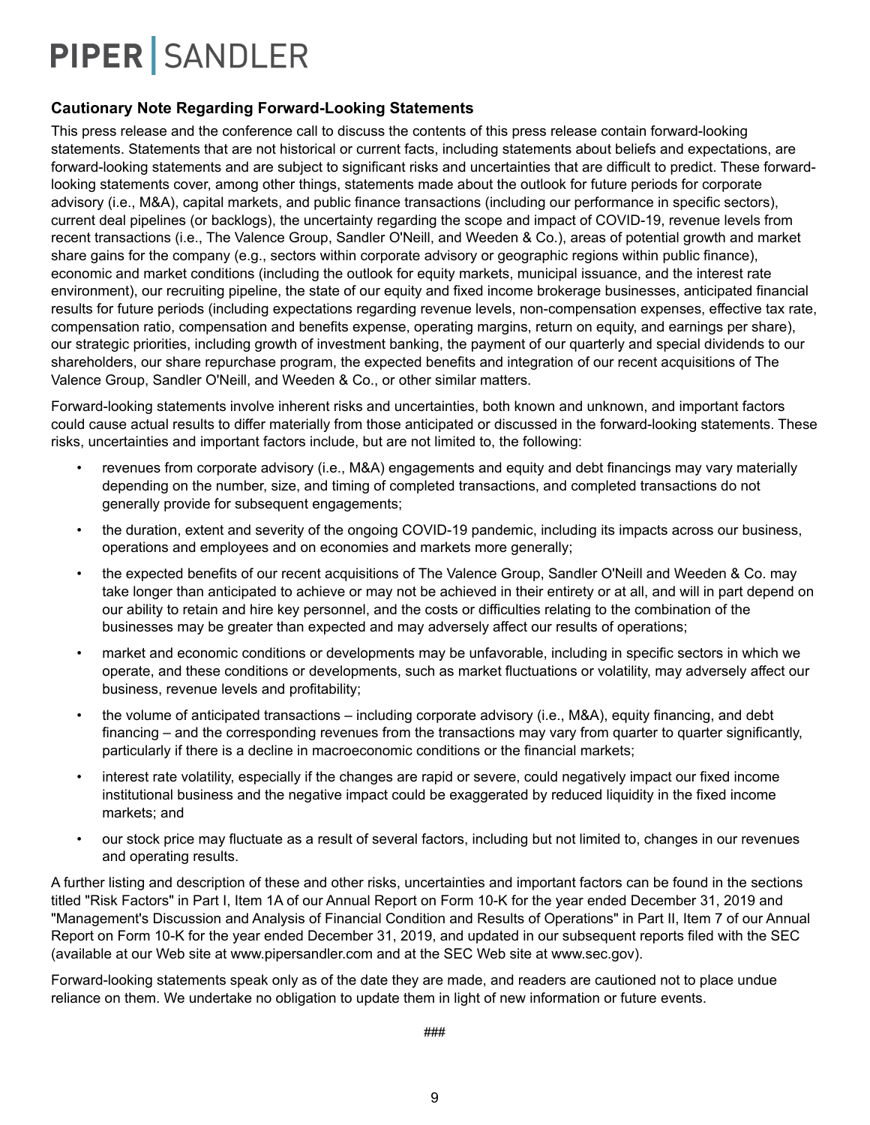#### **Cautionary Note Regarding Forward-Looking Statements**

This press release and the conference call to discuss the contents of this press release contain forward-looking statements. Statements that are not historical or current facts, including statements about beliefs and expectations, are forward-looking statements and are subject to significant risks and uncertainties that are difficult to predict. These forwardlooking statements cover, among other things, statements made about the outlook for future periods for corporate advisory (i.e., M&A), capital markets, and public finance transactions (including our performance in specific sectors), current deal pipelines (or backlogs), the uncertainty regarding the scope and impact of COVID-19, revenue levels from recent transactions (i.e., The Valence Group, Sandler O'Neill, and Weeden & Co.), areas of potential growth and market share gains for the company (e.g., sectors within corporate advisory or geographic regions within public finance), economic and market conditions (including the outlook for equity markets, municipal issuance, and the interest rate environment), our recruiting pipeline, the state of our equity and fixed income brokerage businesses, anticipated financial results for future periods (including expectations regarding revenue levels, non-compensation expenses, effective tax rate, compensation ratio, compensation and benefits expense, operating margins, return on equity, and earnings per share), our strategic priorities, including growth of investment banking, the payment of our quarterly and special dividends to our shareholders, our share repurchase program, the expected benefits and integration of our recent acquisitions of The Valence Group, Sandler O'Neill, and Weeden & Co., or other similar matters.

Forward-looking statements involve inherent risks and uncertainties, both known and unknown, and important factors could cause actual results to differ materially from those anticipated or discussed in the forward-looking statements. These risks, uncertainties and important factors include, but are not limited to, the following:

- revenues from corporate advisory (i.e., M&A) engagements and equity and debt financings may vary materially depending on the number, size, and timing of completed transactions, and completed transactions do not generally provide for subsequent engagements;
- the duration, extent and severity of the ongoing COVID-19 pandemic, including its impacts across our business, operations and employees and on economies and markets more generally;
- the expected benefits of our recent acquisitions of The Valence Group, Sandler O'Neill and Weeden & Co. may take longer than anticipated to achieve or may not be achieved in their entirety or at all, and will in part depend on our ability to retain and hire key personnel, and the costs or difficulties relating to the combination of the businesses may be greater than expected and may adversely affect our results of operations;
- market and economic conditions or developments may be unfavorable, including in specific sectors in which we operate, and these conditions or developments, such as market fluctuations or volatility, may adversely affect our business, revenue levels and profitability;
- the volume of anticipated transactions including corporate advisory (i.e., M&A), equity financing, and debt financing – and the corresponding revenues from the transactions may vary from quarter to quarter significantly, particularly if there is a decline in macroeconomic conditions or the financial markets;
- interest rate volatility, especially if the changes are rapid or severe, could negatively impact our fixed income institutional business and the negative impact could be exaggerated by reduced liquidity in the fixed income markets; and
- our stock price may fluctuate as a result of several factors, including but not limited to, changes in our revenues and operating results.

A further listing and description of these and other risks, uncertainties and important factors can be found in the sections titled "Risk Factors" in Part I, Item 1A of our Annual Report on Form 10-K for the year ended December 31, 2019 and "Management's Discussion and Analysis of Financial Condition and Results of Operations" in Part II, Item 7 of our Annual Report on Form 10-K for the year ended December 31, 2019, and updated in our subsequent reports filed with the SEC (available at our Web site at www.pipersandler.com and at the SEC Web site at www.sec.gov).

Forward-looking statements speak only as of the date they are made, and readers are cautioned not to place undue reliance on them. We undertake no obligation to update them in light of new information or future events.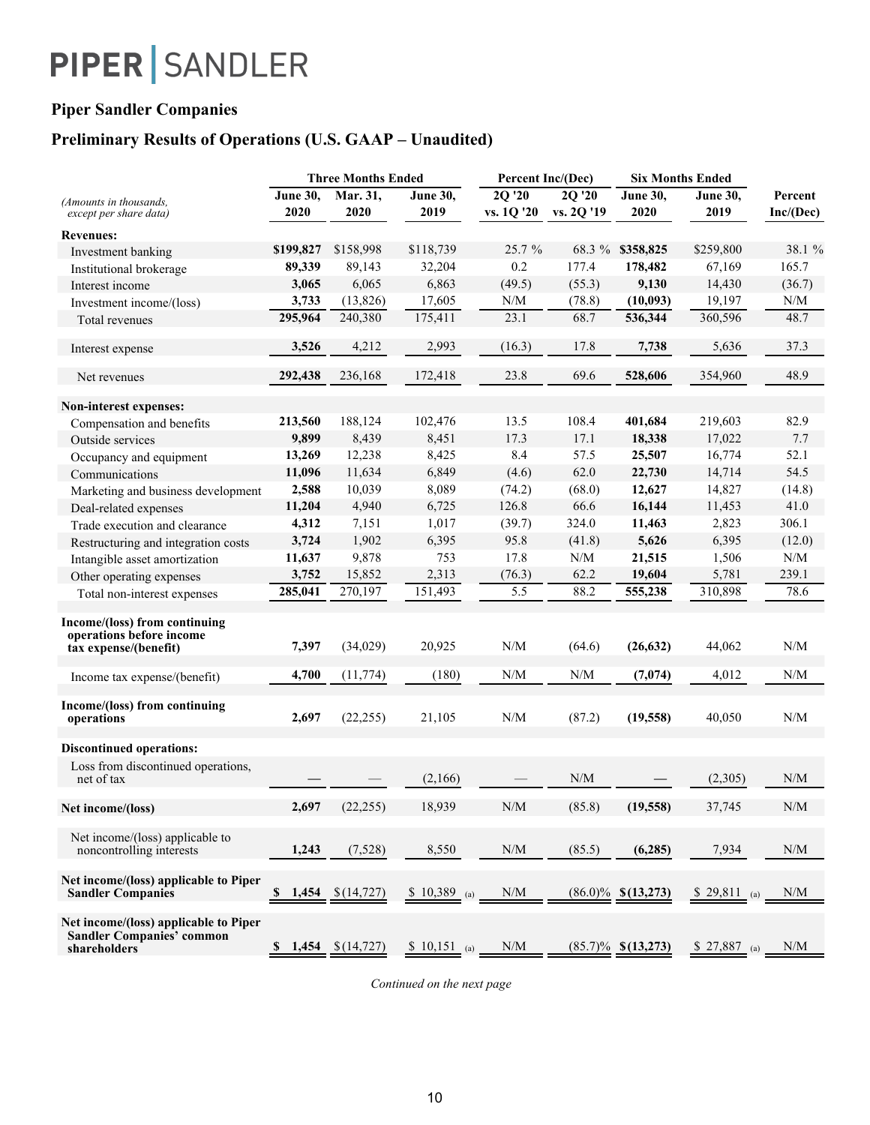### **Piper Sandler Companies**

### **Preliminary Results of Operations (U.S. GAAP – Unaudited)**

|                                                                                           | <b>Three Months Ended</b> |                     | Percent Inc/(Dec) |                                               | <b>Six Months Ended</b> |                       |                 |                                                             |
|-------------------------------------------------------------------------------------------|---------------------------|---------------------|-------------------|-----------------------------------------------|-------------------------|-----------------------|-----------------|-------------------------------------------------------------|
| (Amounts in thousands,                                                                    | <b>June 30,</b>           | Mar. 31,            | June $30,$        | 2Q '20                                        | 2Q '20                  | <b>June 30,</b>       | <b>June 30.</b> | Percent                                                     |
| except per share data)                                                                    | 2020                      | 2020                | 2019              | vs. 1Q '20                                    | vs. 2Q '19              | 2020                  | 2019            | Inc/(Dec)                                                   |
| <b>Revenues:</b>                                                                          |                           |                     |                   |                                               |                         |                       |                 |                                                             |
| Investment banking                                                                        | \$199,827                 | \$158,998           | \$118,739         | 25.7%                                         | 68.3 %                  | \$358,825             | \$259,800       | 38.1 %                                                      |
| Institutional brokerage                                                                   | 89,339                    | 89,143              | 32,204            | 0.2                                           | 177.4                   | 178,482               | 67,169          | 165.7                                                       |
| Interest income                                                                           | 3,065                     | 6,065               | 6,863             | (49.5)                                        | (55.3)                  | 9,130                 | 14,430          | (36.7)                                                      |
| Investment income/(loss)                                                                  | 3,733                     | (13,826)            | 17,605            | N/M                                           | (78.8)                  | (10,093)              | 19,197          | N/M                                                         |
| Total revenues                                                                            | 295,964                   | 240,380             | 175,411           | 23.1                                          | 68.7                    | 536,344               | 360,596         | 48.7                                                        |
| Interest expense                                                                          | 3,526                     | 4,212               | 2,993             | (16.3)                                        | 17.8                    | 7,738                 | 5,636           | 37.3                                                        |
| Net revenues                                                                              | 292,438                   | 236,168             | 172,418           | 23.8                                          | 69.6                    | 528,606               | 354,960         | 48.9                                                        |
| Non-interest expenses:                                                                    |                           |                     |                   |                                               |                         |                       |                 |                                                             |
| Compensation and benefits                                                                 | 213,560                   | 188,124             | 102,476           | 13.5                                          | 108.4                   | 401,684               | 219,603         | 82.9                                                        |
| Outside services                                                                          | 9,899                     | 8,439               | 8,451             | 17.3                                          | 17.1                    | 18,338                | 17,022          | 7.7                                                         |
| Occupancy and equipment                                                                   | 13,269                    | 12,238              | 8,425             | 8.4                                           | 57.5                    | 25,507                | 16,774          | 52.1                                                        |
| Communications                                                                            | 11,096                    | 11,634              | 6,849             | (4.6)                                         | 62.0                    | 22,730                | 14,714          | 54.5                                                        |
| Marketing and business development                                                        | 2,588                     | 10,039              | 8,089             | (74.2)                                        | (68.0)                  | 12,627                | 14,827          | (14.8)                                                      |
| Deal-related expenses                                                                     | 11,204                    | 4,940               | 6,725             | 126.8                                         | 66.6                    | 16,144                | 11,453          | 41.0                                                        |
| Trade execution and clearance                                                             | 4,312                     | 7,151               | 1,017             | (39.7)                                        | 324.0                   | 11,463                | 2,823           | 306.1                                                       |
| Restructuring and integration costs                                                       | 3,724                     | 1,902               | 6,395             | 95.8                                          | (41.8)                  | 5,626                 | 6,395           | (12.0)                                                      |
| Intangible asset amortization                                                             | 11,637                    | 9,878               | 753               | 17.8                                          | N/M                     | 21,515                | 1,506           | $\ensuremath{\text{N}}/\ensuremath{\text{M}}$               |
| Other operating expenses                                                                  | 3,752                     | 15,852              | 2,313             | (76.3)                                        | 62.2                    | 19,604                | 5,781           | 239.1                                                       |
| Total non-interest expenses                                                               | 285,041                   | 270,197             | 151,493           | 5.5                                           | 88.2                    | 555,238               | 310,898         | 78.6                                                        |
| Income/(loss) from continuing<br>operations before income<br>tax expense/(benefit)        | 7,397                     | (34,029)            | 20,925            | N/M                                           | (64.6)                  | (26, 632)             | 44,062          | N/M                                                         |
| Income tax expense/(benefit)                                                              | 4,700                     | (11, 774)           | (180)             | $\ensuremath{\text{N}}/\ensuremath{\text{M}}$ | N/M                     | (7,074)               | 4,012           | N/M                                                         |
| Income/(loss) from continuing<br>operations                                               | 2,697                     | (22, 255)           | 21,105            | $\ensuremath{\text{N}}/\ensuremath{\text{M}}$ | (87.2)                  | (19, 558)             | 40,050          | N/M                                                         |
| <b>Discontinued operations:</b>                                                           |                           |                     |                   |                                               |                         |                       |                 |                                                             |
| Loss from discontinued operations,<br>net of tax                                          |                           |                     | (2,166)           |                                               | N/M                     |                       | (2,305)         | N/M                                                         |
| Net income/(loss)                                                                         | 2,697                     | (22, 255)           | 18,939            | N/M                                           | (85.8)                  | (19, 558)             | 37,745          | $\ensuremath{\text{N}}\xspace/\ensuremath{\text{M}}\xspace$ |
| Net income/(loss) applicable to<br>noncontrolling interests                               | 1,243                     | (7,528)             | 8,550             | $\ensuremath{\text{N}}/\ensuremath{\text{M}}$ | (85.5)                  | (6,285)               | 7,934           | N/M                                                         |
| Net income/(loss) applicable to Piper<br><b>Sandler Companies</b>                         | <b>S</b><br>1,454         | \$(14, 727)         | $$10,389$ (a)     | N/M                                           |                         | $(86.0)\%$ \$(13,273) | \$ 29,811 (a)   | N/M                                                         |
| Net income/(loss) applicable to Piper<br><b>Sandler Companies' common</b><br>shareholders | S,                        | $1,454$ $$(14,727)$ | $$10,151$ (a)     | N/M                                           |                         | $(85.7)\%$ \$(13,273) | $$27,887$ (a)   | N/M                                                         |

*Continued on the next page*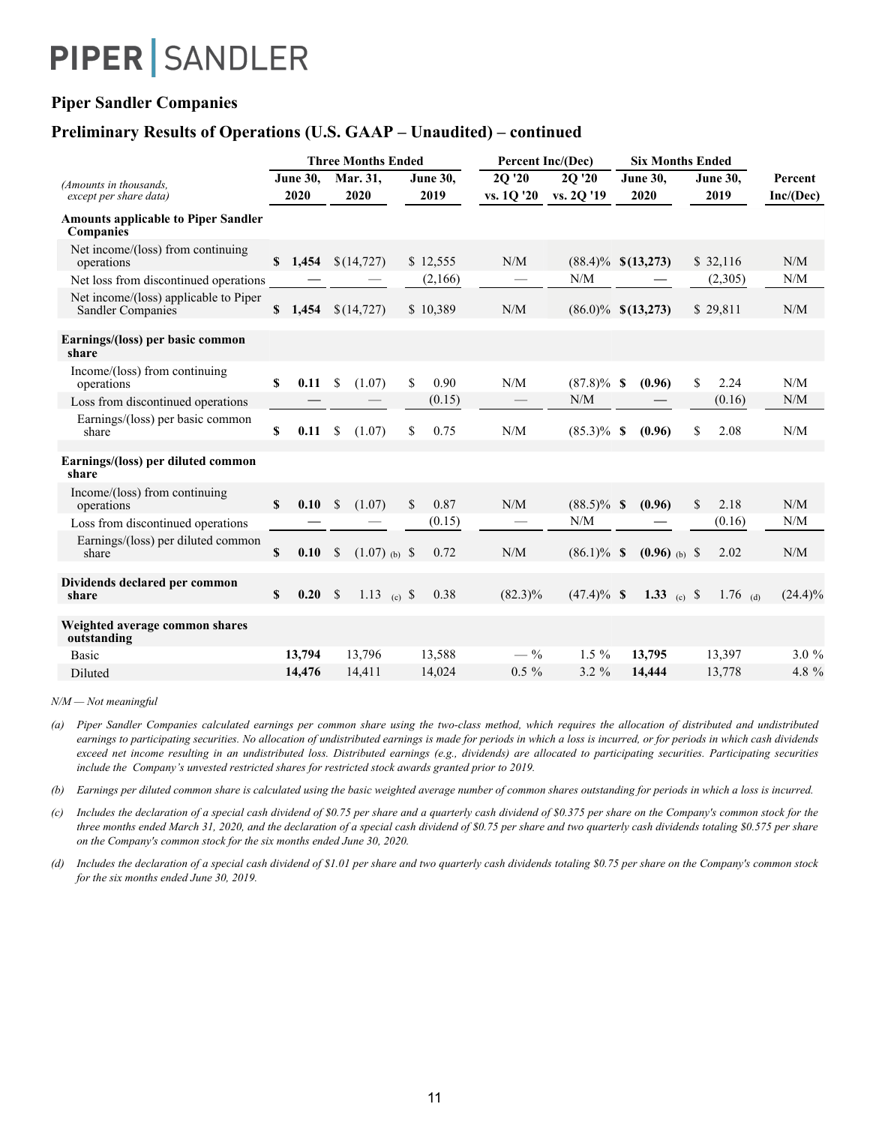### **Piper Sandler Companies**

### **Preliminary Results of Operations (U.S. GAAP – Unaudited) – continued**

|                                                                   | <b>Three Months Ended</b> |                                    |                         | <b>Percent Inc/(Dec)</b> | <b>Six Months Ended</b> |                         |                         |                      |
|-------------------------------------------------------------------|---------------------------|------------------------------------|-------------------------|--------------------------|-------------------------|-------------------------|-------------------------|----------------------|
| (Amounts in thousands.<br>except per share data)                  | June 30,<br>2020          | Mar. 31,<br>2020                   | <b>June 30,</b><br>2019 | 2Q '20<br>vs. 10 '20     | 2Q '20<br>vs. 20'19     | <b>June 30,</b><br>2020 | <b>June 30.</b><br>2019 | Percent<br>Inc/(Dec) |
| <b>Amounts applicable to Piper Sandler</b><br>Companies           |                           |                                    |                         |                          |                         |                         |                         |                      |
| Net income/(loss) from continuing<br>operations                   | \$1,454                   | \$(14, 727)                        | \$12,555                | N/M                      |                         | $(88.4)\%$ \$(13,273)   | \$32,116                | N/M                  |
| Net loss from discontinued operations                             |                           |                                    | (2,166)                 |                          | N/M                     |                         | (2,305)                 | N/M                  |
| Net income/(loss) applicable to Piper<br><b>Sandler Companies</b> | \$1,454                   | \$(14, 727)                        | \$10,389                | N/M                      |                         | $(86.0)\%$ \$(13,273)   | \$29,811                | N/M                  |
| Earnings/(loss) per basic common<br>share                         |                           |                                    |                         |                          |                         |                         |                         |                      |
| Income/(loss) from continuing<br>operations                       | \$<br>0.11                | <sup>\$</sup><br>(1.07)            | \$<br>0.90              | N/M                      | $(87.8)\%$ \$           | (0.96)                  | \$<br>2.24              | N/M                  |
| Loss from discontinued operations                                 |                           |                                    | (0.15)                  |                          | N/M                     |                         | (0.16)                  | N/M                  |
| Earnings/(loss) per basic common<br>share                         | \$<br>0.11                | (1.07)<br>\$                       | 0.75<br>\$              | N/M                      | $(85.3)\%$ \$           | (0.96)                  | 2.08<br>\$              | N/M                  |
| Earnings/(loss) per diluted common<br>share                       |                           |                                    |                         |                          |                         |                         |                         |                      |
| Income/(loss) from continuing<br>operations                       | $\mathbf{s}$<br>0.10      | \$<br>(1.07)                       | \$<br>0.87              | N/M                      | $(88.5)\%$ \$           | (0.96)                  | \$<br>2.18              | N/M                  |
| Loss from discontinued operations                                 |                           |                                    | (0.15)                  |                          | N/M                     |                         | (0.16)                  | N/M                  |
| Earnings/(loss) per diluted common<br>share                       | $\mathbf{s}$<br>0.10      | $\mathcal{S}$<br>$(1.07)_{(b)}$ \$ | 0.72                    | N/M                      | $(86.1)\%$ \$           | $(0.96)$ (b) \$         | 2.02                    | N/M                  |
| Dividends declared per common<br>share                            | $\mathbf{s}$<br>0.20 S    | 1.13 (c) $\sqrt{s}$                | 0.38                    | $(82.3)\%$               | $(47.4)\%$ \$           | 1.33 (c) $\frac{1}{2}$  | 1.76 (d)                | $(24.4)\%$           |
| Weighted average common shares<br>outstanding                     |                           |                                    |                         |                          |                         |                         |                         |                      |
| Basic                                                             | 13,794                    | 13,796                             | 13,588                  | $-$ %                    | $1.5\%$                 | 13,795                  | 13,397                  | $3.0\%$              |
| Diluted                                                           | 14,476                    | 14,411                             | 14,024                  | $0.5 \%$                 | $3.2 \%$                | 14,444                  | 13,778                  | 4.8 %                |

*N/M — Not meaningful*

*(a)* Piper Sandler Companies calculated earnings per common share using the two-class method, which requires the allocation of distributed and undistributed earnings to participating securities. No allocation of undistributed earnings is made for periods in which a loss is incurred, or for periods in which cash dividends exceed net income resulting in an undistributed loss. Distributed earnings (e.g., dividends) are allocated to participating securities. Participating securities *include the Company's unvested restricted shares for restricted stock awards granted prior to 2019.*

*(b) Earnings per diluted common share is calculated using the basic weighted average number of common shares outstanding for periods in which a loss is incurred.*

*(c) Includes the declaration of a special cash dividend of \$0.75 per share and a quarterly cash dividend of \$0.375 per share on the Company's common stock for the three months ended March 31, 2020, and the declaration of a special cash dividend of \$0.75 per share and two quarterly cash dividends totaling \$0.575 per share on the Company's common stock for the six months ended June 30, 2020.*

*(d) Includes the declaration of a special cash dividend of \$1.01 per share and two quarterly cash dividends totaling \$0.75 per share on the Company's common stock for the six months ended June 30, 2019.*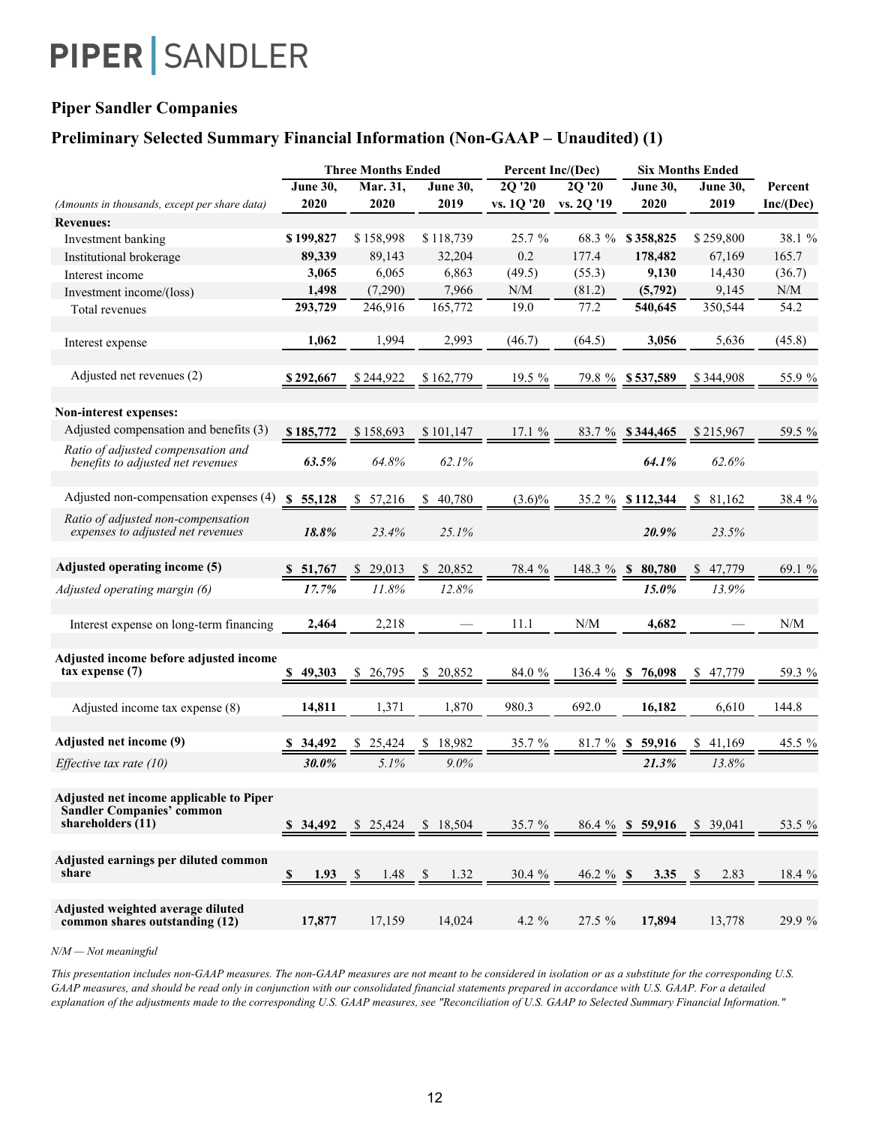### **Piper Sandler Companies**

### **Preliminary Selected Summary Financial Information (Non-GAAP – Unaudited) (1)**

|                                                                                                    |              | <b>Three Months Ended</b> |                      | Percent Inc/(Dec) |                              | <b>Six Months Ended</b>      |                 |           |
|----------------------------------------------------------------------------------------------------|--------------|---------------------------|----------------------|-------------------|------------------------------|------------------------------|-----------------|-----------|
|                                                                                                    | June 30,     | Mar. 31,                  | June 30,             | 2Q '20            | 2Q '20                       | June 30,                     | <b>June 30,</b> | Percent   |
| (Amounts in thousands, except per share data)                                                      | 2020         | 2020                      | 2019                 | vs. 1Q '20        | vs. 2Q '19                   | 2020                         | 2019            | Inc/(Dec) |
| <b>Revenues:</b>                                                                                   |              |                           |                      |                   |                              |                              |                 |           |
| Investment banking                                                                                 | \$199,827    | \$158,998                 | \$118,739            | 25.7%             | 68.3 %                       | \$358,825                    | \$259,800       | 38.1 %    |
| Institutional brokerage                                                                            | 89,339       | 89,143                    | 32,204               | 0.2               | 177.4                        | 178,482                      | 67,169          | 165.7     |
| Interest income                                                                                    | 3,065        | 6,065                     | 6,863                | (49.5)            | (55.3)                       | 9,130                        | 14,430          | (36.7)    |
| Investment income/(loss)                                                                           | 1,498        | (7,290)                   | 7,966                | N/M               | (81.2)                       | (5,792)                      | 9,145           | N/M       |
| Total revenues                                                                                     | 293,729      | 246,916                   | 165,772              | 19.0              | 77.2                         | 540,645                      | 350,544         | 54.2      |
| Interest expense                                                                                   | 1,062        | 1,994                     | 2,993                | (46.7)            | (64.5)                       | 3,056                        | 5,636           | (45.8)    |
| Adjusted net revenues (2)                                                                          | \$292,667    | \$244,922                 | \$162,779            | 19.5 %            |                              | 79.8 % \$537,589             | \$344,908       | 55.9 %    |
| Non-interest expenses:                                                                             |              |                           |                      |                   |                              |                              |                 |           |
| Adjusted compensation and benefits (3)                                                             | \$185,772    | \$158,693                 | \$101,147            | 17.1 %            |                              | 83.7 % \$344,465             | \$215,967       | 59.5 %    |
| Ratio of adjusted compensation and<br>benefits to adjusted net revenues                            | 63.5%        | 64.8%                     | 62.1%                |                   |                              | 64.1%                        | 62.6%           |           |
| Adjusted non-compensation expenses (4)                                                             | \$5,128      | 57,216<br>\$              | 40,780<br>\$         | $(3.6)\%$         |                              | 35.2 % \$112,344             | 81,162<br>\$    | 38.4 %    |
| Ratio of adjusted non-compensation<br>expenses to adjusted net revenues                            | 18.8%        | 23.4%                     | 25.1%                |                   |                              | 20.9%                        | 23.5%           |           |
| Adjusted operating income (5)                                                                      | \$51,767     | 29,013<br><sup>8</sup>    | 20,852<br>S.         | 78.4 %            | 148.3 % \$                   | 80,780                       | 47,779          | 69.1 %    |
| Adjusted operating margin (6)                                                                      | 17.7%        | 11.8%                     | 12.8%                |                   |                              | 15.0%                        | 13.9%           |           |
| Interest expense on long-term financing                                                            | 2,464        | 2,218                     |                      | 11.1              | N/M                          | 4,682                        |                 | N/M       |
| Adjusted income before adjusted income<br>$tax$ expense $(7)$                                      | 49,303<br>S. | \$ 26,795                 | 20,852<br>S.         | 84.0 %            | 136.4%                       | 76,098<br>- \$               | 47,779<br>S.    | 59.3 %    |
| Adjusted income tax expense (8)                                                                    | 14,811       | 1,371                     | 1,870                | 980.3             | 692.0                        | 16,182                       | 6,610           | 144.8     |
| Adjusted net income (9)                                                                            | \$ 34,492    | 25,424                    | 18,982<br>S.         | 35.7 %            |                              | 81.7 % \$ 59,916             | 41,169          | 45.5 %    |
| Effective tax rate $(10)$                                                                          | 30.0%        | 5.1%                      | 9.0%                 |                   |                              | 21.3%                        | 13.8%           |           |
| Adjusted net income applicable to Piper<br><b>Sandler Companies' common</b><br>shareholders $(11)$ | \$34,492     | $$25,424$ $$18,504$       |                      | 35.7 %            |                              | $86.4\%$ \$ 59,916 \$ 39,041 |                 | 53.5 %    |
| Adjusted earnings per diluted common<br>share                                                      | \$<br>1.93   | 1.48<br>-S                | 1.32<br>$\mathbb{S}$ | 30.4 %            | $\frac{46.2 \frac{9}{6}}{5}$ | 3.35                         | 2.83<br>-S      | 18.4 %    |
| Adjusted weighted average diluted<br>common shares outstanding (12)                                | 17,877       | 17,159                    | 14,024               | 4.2 $%$           | 27.5 %                       | 17,894                       | 13,778          | 29.9 %    |

*N/M — Not meaningful*

*This presentation includes non-GAAP measures. The non-GAAP measures are not meant to be considered in isolation or as a substitute for the corresponding U.S. GAAP measures, and should be read only in conjunction with our consolidated financial statements prepared in accordance with U.S. GAAP. For a detailed explanation of the adjustments made to the corresponding U.S. GAAP measures, see "Reconciliation of U.S. GAAP to Selected Summary Financial Information."*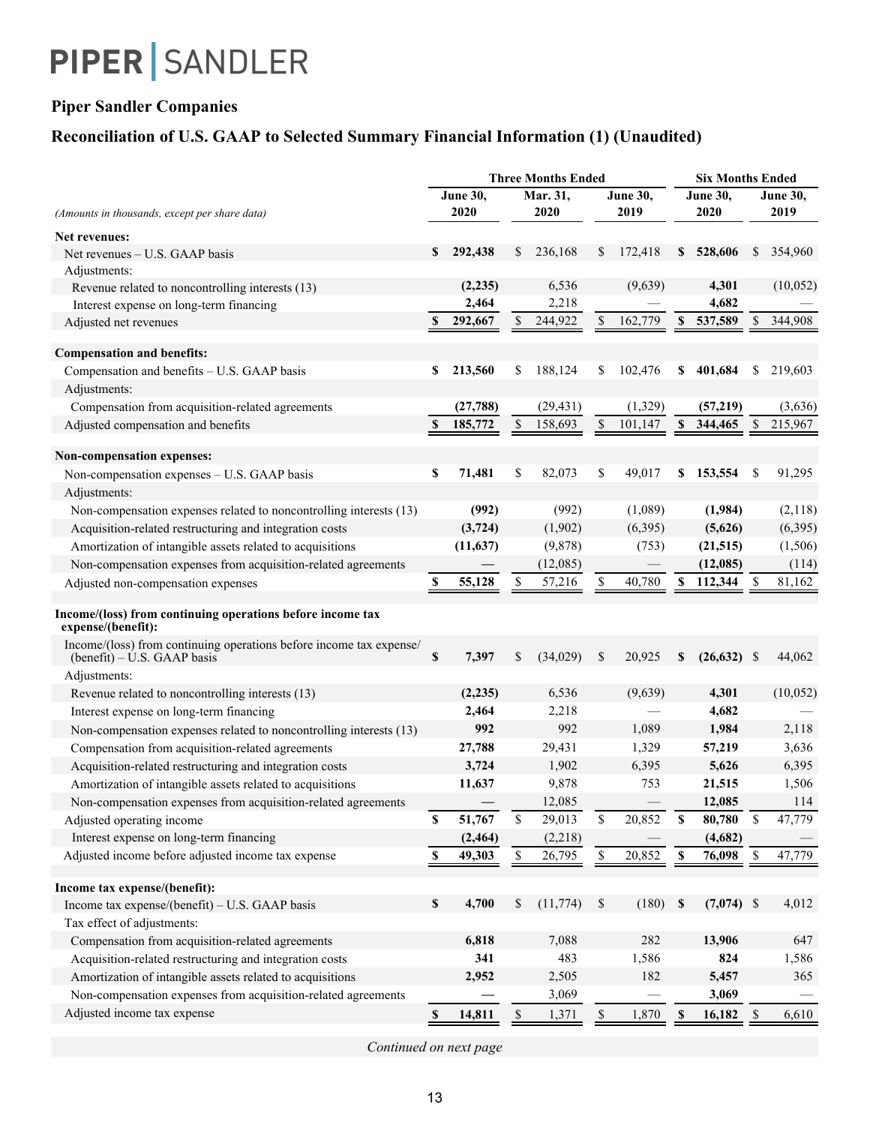## **Piper Sandler Companies**

## **Reconciliation of U.S. GAAP to Selected Summary Financial Information (1) (Unaudited)**

|                                                                                                    | <b>Three Months Ended</b> |                 |             |           |                |                 |             | <b>Six Months Ended</b> |                 |           |  |  |
|----------------------------------------------------------------------------------------------------|---------------------------|-----------------|-------------|-----------|----------------|-----------------|-------------|-------------------------|-----------------|-----------|--|--|
|                                                                                                    |                           | <b>June 30,</b> |             | Mar. 31,  |                | <b>June 30,</b> |             | <b>June 30,</b>         | <b>June 30,</b> |           |  |  |
| (Amounts in thousands, except per share data)                                                      |                           | 2020            |             | 2020      |                | 2019            |             | 2020                    |                 | 2019      |  |  |
| Net revenues:                                                                                      |                           |                 |             |           |                |                 |             |                         |                 |           |  |  |
| Net revenues – U.S. GAAP basis                                                                     | \$                        | 292,438         | \$          | 236,168   | \$             | 172,418         | \$          | 528,606                 | \$              | 354,960   |  |  |
| Adjustments:                                                                                       |                           |                 |             |           |                |                 |             |                         |                 |           |  |  |
| Revenue related to noncontrolling interests (13)                                                   |                           | (2,235)         |             | 6,536     |                | (9,639)         |             | 4,301                   |                 | (10,052)  |  |  |
| Interest expense on long-term financing                                                            |                           | 2,464           |             | 2,218     |                |                 |             | 4,682                   |                 |           |  |  |
| Adjusted net revenues                                                                              | S                         | 292,667         | \$          | 244,922   | \$             | 162,779         | \$          | 537,589                 | \$              | 344,908   |  |  |
| <b>Compensation and benefits:</b>                                                                  |                           |                 |             |           |                |                 |             |                         |                 |           |  |  |
| Compensation and benefits - U.S. GAAP basis                                                        | \$                        | 213,560         | \$          | 188,124   | \$             | 102,476         | \$          | 401,684                 | \$              | 219,603   |  |  |
| Adjustments:                                                                                       |                           |                 |             |           |                |                 |             |                         |                 |           |  |  |
| Compensation from acquisition-related agreements                                                   |                           | (27, 788)       |             | (29, 431) |                | (1,329)         |             | (57,219)                |                 | (3,636)   |  |  |
| Adjusted compensation and benefits                                                                 | $\mathbf{s}$              | 185,772         | \$          | 158,693   | $\mathbb{S}$   | 101,147         | $\mathbf S$ | 344,465                 | \$              | 215,967   |  |  |
|                                                                                                    |                           |                 |             |           |                |                 |             |                         |                 |           |  |  |
| <b>Non-compensation expenses:</b>                                                                  |                           |                 |             |           |                |                 |             |                         |                 |           |  |  |
| Non-compensation expenses - U.S. GAAP basis<br>Adjustments:                                        | \$                        | 71,481          | \$          | 82,073    | \$             | 49,017          | \$          | 153,554                 | \$              | 91,295    |  |  |
| Non-compensation expenses related to noncontrolling interests (13)                                 |                           | (992)           |             | (992)     |                | (1,089)         |             | (1,984)                 |                 | (2,118)   |  |  |
| Acquisition-related restructuring and integration costs                                            |                           | (3, 724)        |             | (1,902)   |                | (6,395)         |             | (5,626)                 |                 | (6,395)   |  |  |
| Amortization of intangible assets related to acquisitions                                          |                           | (11, 637)       |             | (9,878)   |                | (753)           |             | (21, 515)               |                 | (1,506)   |  |  |
| Non-compensation expenses from acquisition-related agreements                                      |                           |                 |             | (12,085)  |                |                 |             | (12,085)                |                 | (114)     |  |  |
| Adjusted non-compensation expenses                                                                 | \$                        | 55,128          | \$          | 57,216    | \$             | 40,780          | \$          | 112,344                 | S               | 81,162    |  |  |
| Income/(loss) from continuing operations before income tax<br>expense/(benefit):                   |                           |                 |             |           |                |                 |             |                         |                 |           |  |  |
| Income/(loss) from continuing operations before income tax expense/<br>(benefit) – U.S. GAAP basis | \$                        | 7,397           | \$          | (34,029)  | \$             | 20,925          | \$          | $(26,632)$ \$           |                 | 44,062    |  |  |
| Adjustments:                                                                                       |                           |                 |             |           |                |                 |             |                         |                 |           |  |  |
| Revenue related to noncontrolling interests (13)                                                   |                           | (2, 235)        |             | 6,536     |                | (9,639)         |             | 4,301                   |                 | (10, 052) |  |  |
| Interest expense on long-term financing                                                            |                           | 2,464           |             | 2,218     |                |                 |             | 4,682                   |                 |           |  |  |
| Non-compensation expenses related to noncontrolling interests (13)                                 |                           | 992             |             | 992       |                | 1,089           |             | 1,984                   |                 | 2,118     |  |  |
| Compensation from acquisition-related agreements                                                   |                           | 27,788          |             | 29,431    |                | 1,329           |             | 57,219                  |                 | 3,636     |  |  |
| Acquisition-related restructuring and integration costs                                            |                           | 3,724           |             | 1,902     |                | 6,395           |             | 5,626                   |                 | 6,395     |  |  |
| Amortization of intangible assets related to acquisitions                                          |                           | 11,637          |             | 9,878     |                | 753             |             | 21,515                  |                 | 1,506     |  |  |
| Non-compensation expenses from acquisition-related agreements                                      |                           |                 |             | 12,085    |                |                 |             | 12,085                  |                 | 114       |  |  |
| Adjusted operating income                                                                          | \$                        | 51,767          | $\mathbb S$ | 29,013    | \$             | 20,852          | \$          | 80,780                  | $\mathbb S$     | 47,779    |  |  |
| Interest expense on long-term financing                                                            |                           | (2, 464)        |             | (2,218)   |                |                 |             | (4,682)                 |                 |           |  |  |
| Adjusted income before adjusted income tax expense                                                 | \$                        | 49,303          | \$          | 26,795    | $\mathbf{\$\}$ | 20,852          | \$          | 76,098                  | $\mathbb{S}$    | 47,779    |  |  |
| Income tax expense/(benefit):                                                                      |                           |                 |             |           |                |                 |             |                         |                 |           |  |  |
| Income tax expense/(benefit) - U.S. GAAP basis                                                     | $\mathbb S$               | 4,700           | \$          | (11, 774) | \$             | (180)           | \$          | $(7,074)$ \$            |                 | 4,012     |  |  |
| Tax effect of adjustments:                                                                         |                           |                 |             |           |                |                 |             |                         |                 |           |  |  |
| Compensation from acquisition-related agreements                                                   |                           | 6,818           |             | 7,088     |                | 282             |             | 13,906                  |                 | 647       |  |  |
| Acquisition-related restructuring and integration costs                                            |                           | 341             |             | 483       |                | 1,586           |             | 824                     |                 | 1,586     |  |  |
| Amortization of intangible assets related to acquisitions                                          |                           | 2,952           |             | 2,505     |                | 182             |             | 5,457                   |                 | 365       |  |  |
| Non-compensation expenses from acquisition-related agreements                                      |                           |                 |             | 3,069     |                |                 |             | 3,069                   |                 |           |  |  |
| Adjusted income tax expense                                                                        | $\mathbf S$               | 14,811          | \$          | 1,371     | \$             | 1,870           | \$          | 16,182                  | \$              | 6,610     |  |  |
|                                                                                                    |                           |                 |             |           |                |                 |             |                         |                 |           |  |  |

*Continued on next page*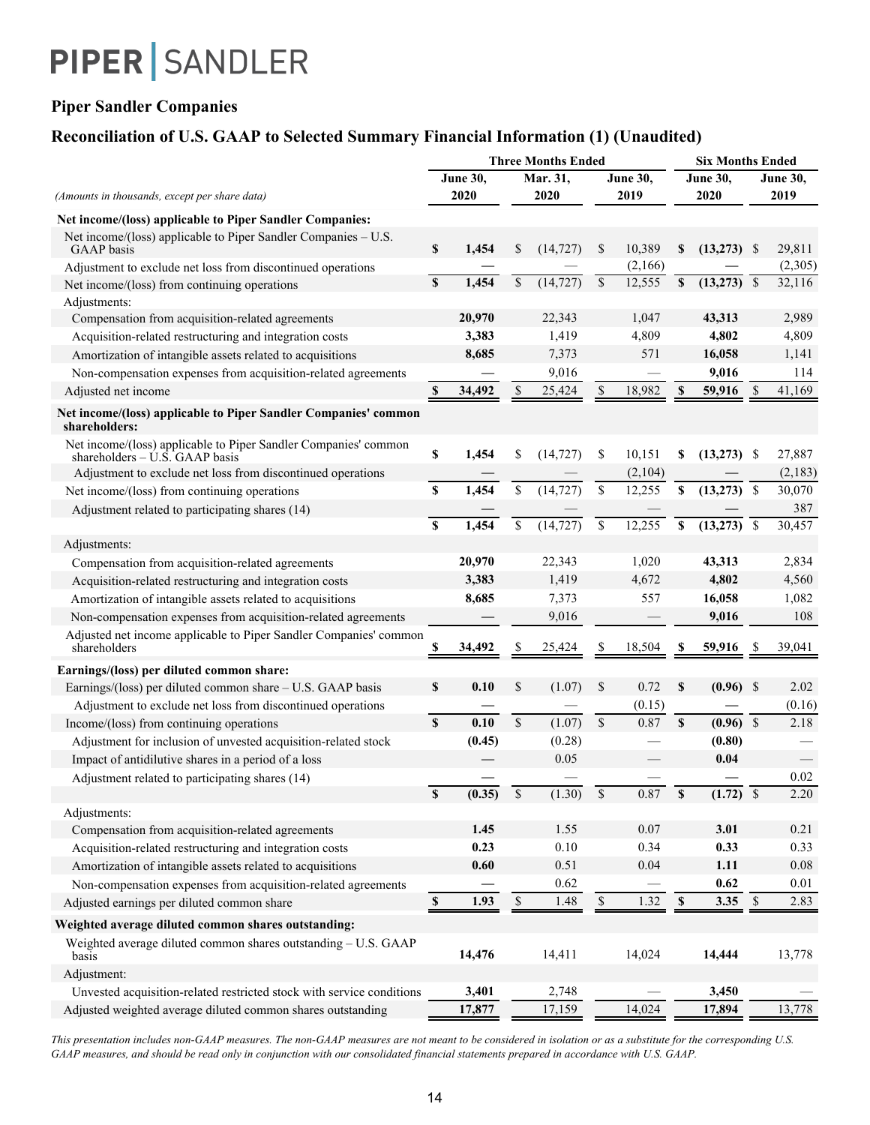### **Piper Sandler Companies**

### **Reconciliation of U.S. GAAP to Selected Summary Financial Information (1) (Unaudited)**

|                                                                                                     |                           |             | <b>Three Months Ended</b> |           | <b>Six Months Ended</b> |                 |             |                 |               |                 |
|-----------------------------------------------------------------------------------------------------|---------------------------|-------------|---------------------------|-----------|-------------------------|-----------------|-------------|-----------------|---------------|-----------------|
|                                                                                                     |                           | June 30,    |                           | Mar. 31,  |                         | <b>June 30,</b> |             | <b>June 30,</b> |               | <b>June 30,</b> |
| (Amounts in thousands, except per share data)                                                       |                           | 2020        |                           | 2020      |                         | 2019            |             | 2020            |               | 2019            |
| Net income/(loss) applicable to Piper Sandler Companies:                                            |                           |             |                           |           |                         |                 |             |                 |               |                 |
| Net income/(loss) applicable to Piper Sandler Companies - U.S.<br>GAAP basis                        | \$                        | 1,454       | \$                        | (14, 727) | \$                      | 10,389          | \$          | $(13,273)$ \$   |               | 29,811          |
| Adjustment to exclude net loss from discontinued operations                                         |                           |             |                           |           |                         | (2,166)         |             |                 |               | (2,305)         |
| Net income/(loss) from continuing operations                                                        | S                         | 1,454       | \$                        | (14, 727) | \$                      | 12,555          | \$          |                 |               | 32,116          |
| Adjustments:                                                                                        |                           |             |                           |           |                         |                 |             |                 |               |                 |
| Compensation from acquisition-related agreements                                                    |                           | 20,970      |                           | 22,343    |                         | 1,047           |             | 43,313          |               | 2,989           |
| Acquisition-related restructuring and integration costs                                             |                           | 3,383       |                           | 1,419     |                         | 4,809           |             | 4,802           |               | 4,809           |
| Amortization of intangible assets related to acquisitions                                           |                           | 8,685       |                           | 7,373     |                         | 571             |             | 16,058          |               | 1,141           |
| Non-compensation expenses from acquisition-related agreements                                       |                           |             |                           | 9,016     |                         |                 |             | 9,016           |               | 114             |
| Adjusted net income                                                                                 | \$                        | 34,492      | S                         | 25,424    | S                       | 18,982          | \$          | 59,916          | <sup>\$</sup> | 41,169          |
| Net income/(loss) applicable to Piper Sandler Companies' common<br>shareholders:                    |                           |             |                           |           |                         |                 |             |                 |               |                 |
| Net income/(loss) applicable to Piper Sandler Companies' common<br>shareholders $-$ U.S. GAAP basis | $\pmb{\mathbb{S}}$        | 1,454       | \$                        | (14, 727) | \$                      | 10,151          | \$          | $(13,273)$ \$   |               | 27,887          |
| Adjustment to exclude net loss from discontinued operations                                         |                           |             |                           |           |                         | (2,104)         |             |                 |               | (2,183)         |
| Net income/(loss) from continuing operations                                                        | $\mathbb S$               | 1,454       | \$                        | (14, 727) | \$                      | 12,255          | \$          | $(13,273)$ \$   |               | 30,070          |
| Adjustment related to participating shares (14)                                                     |                           |             |                           |           |                         |                 |             |                 |               | 387             |
|                                                                                                     | $\overline{\mathbf{s}}$   | 1,454       | \$                        | (14, 727) | \$                      | 12,255          | \$          | $(13,273)$ \$   |               | 30,457          |
| Adjustments:                                                                                        |                           |             |                           |           |                         |                 |             |                 |               |                 |
| Compensation from acquisition-related agreements                                                    |                           | 20,970      |                           | 22,343    |                         | 1,020           |             | 43,313          |               | 2,834           |
| Acquisition-related restructuring and integration costs                                             |                           | 3,383       |                           | 1,419     |                         | 4,672           |             | 4,802           |               | 4,560           |
| Amortization of intangible assets related to acquisitions                                           |                           | 8,685       |                           | 7,373     |                         | 557             |             | 16,058          |               | 1,082           |
| Non-compensation expenses from acquisition-related agreements                                       |                           |             |                           | 9,016     |                         |                 |             | 9,016           |               | 108             |
| Adjusted net income applicable to Piper Sandler Companies' common<br>shareholders                   |                           | 34,492      |                           | 25,424    |                         | 18,504          |             | 59,916          |               | 39,041          |
| Earnings/(loss) per diluted common share:                                                           |                           |             |                           |           |                         |                 |             |                 |               |                 |
| Earnings/(loss) per diluted common share - U.S. GAAP basis                                          | \$                        | 0.10        | \$                        | (1.07)    | \$                      | 0.72            | <b>S</b>    | $(0.96)$ \$     |               | 2.02            |
| Adjustment to exclude net loss from discontinued operations                                         |                           |             |                           |           |                         | (0.15)          |             |                 |               | (0.16)          |
| Income/(loss) from continuing operations                                                            | $\mathbf{s}$              | 0.10        | $\mathbb{S}$              | (1.07)    | \$                      | 0.87            | $\mathbf S$ | $(0.96)$ \$     |               | 2.18            |
| Adjustment for inclusion of unvested acquisition-related stock                                      |                           | (0.45)      |                           | (0.28)    |                         |                 |             | (0.80)          |               |                 |
| Impact of antidilutive shares in a period of a loss                                                 |                           |             |                           | 0.05      |                         |                 |             | 0.04            |               |                 |
| Adjustment related to participating shares (14)                                                     |                           |             |                           |           |                         |                 |             |                 |               | 0.02            |
|                                                                                                     | $\overline{\mathbb{S}}$   | (0.35)      | $\$$                      | (1.30)    | $\mathbb{S}$            | 0.87            | \$          | $(1.72)$ \$     |               | 2.20            |
| Adjustments:                                                                                        |                           |             |                           |           |                         |                 |             |                 |               |                 |
| Compensation from acquisition-related agreements                                                    |                           | 1.45        |                           | 1.55      |                         | 0.07            |             | 3.01            |               | 0.21            |
| Acquisition-related restructuring and integration costs                                             |                           | 0.23        |                           | $0.10\,$  |                         | 0.34            |             | 0.33            |               | 0.33            |
| Amortization of intangible assets related to acquisitions                                           |                           | 0.60        |                           | 0.51      |                         | 0.04            |             | 1.11            |               | $0.08\,$        |
| Non-compensation expenses from acquisition-related agreements                                       |                           |             |                           | 0.62      |                         |                 |             | 0.62            |               | 0.01            |
| Adjusted earnings per diluted common share                                                          | $\boldsymbol{\mathsf{S}}$ | <u>1.93</u> | $\mathbb{S}$              | 1.48      | $$\mathbb{S}$$          | 1.32            | $\mathbb S$ | $3.35$ \$       |               | 2.83            |
| Weighted average diluted common shares outstanding:                                                 |                           |             |                           |           |                         |                 |             |                 |               |                 |
| Weighted average diluted common shares outstanding - U.S. GAAP<br>basis                             |                           | 14,476      |                           | 14,411    |                         | 14,024          |             | 14,444          |               | 13,778          |
| Adjustment:                                                                                         |                           |             |                           |           |                         |                 |             |                 |               |                 |
| Unvested acquisition-related restricted stock with service conditions                               |                           | 3,401       |                           | 2,748     |                         |                 |             | 3,450           |               |                 |
| Adjusted weighted average diluted common shares outstanding                                         |                           | 17,877      |                           | 17,159    |                         | 14,024          |             | 17,894          |               | 13,778          |

*This presentation includes non-GAAP measures. The non-GAAP measures are not meant to be considered in isolation or as a substitute for the corresponding U.S. GAAP measures, and should be read only in conjunction with our consolidated financial statements prepared in accordance with U.S. GAAP.*